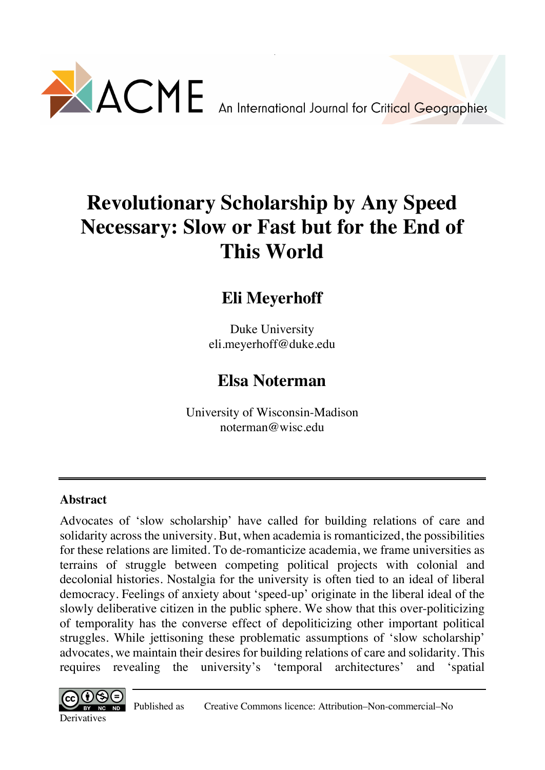

# **Revolutionary Scholarship by Any Speed Necessary: Slow or Fast but for the End of This World**

# **Eli Meyerhoff**

Duke University eli.meyerhoff@duke.edu

# **Elsa Noterman**

University of Wisconsin-Madison noterman@wisc.edu

## **Abstract**

Advocates of 'slow scholarship' have called for building relations of care and solidarity across the university. But, when academia is romanticized, the possibilities for these relations are limited. To de-romanticize academia, we frame universities as terrains of struggle between competing political projects with colonial and decolonial histories. Nostalgia for the university is often tied to an ideal of liberal democracy. Feelings of anxiety about 'speed-up' originate in the liberal ideal of the slowly deliberative citizen in the public sphere. We show that this over-politicizing of temporality has the converse effect of depoliticizing other important political struggles. While jettisoning these problematic assumptions of 'slow scholarship' advocates, we maintain their desires for building relations of care and solidarity. This requires revealing the university's 'temporal architectures' and 'spatial

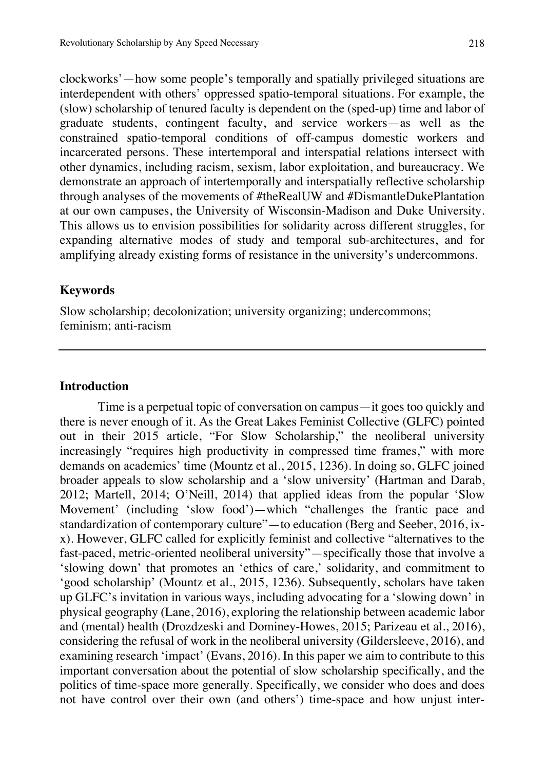clockworks'—how some people's temporally and spatially privileged situations are interdependent with others' oppressed spatio-temporal situations. For example, the (slow) scholarship of tenured faculty is dependent on the (sped-up) time and labor of graduate students, contingent faculty, and service workers—as well as the constrained spatio-temporal conditions of off-campus domestic workers and incarcerated persons. These intertemporal and interspatial relations intersect with other dynamics, including racism, sexism, labor exploitation, and bureaucracy. We demonstrate an approach of intertemporally and interspatially reflective scholarship through analyses of the movements of #theRealUW and #DismantleDukePlantation at our own campuses, the University of Wisconsin-Madison and Duke University. This allows us to envision possibilities for solidarity across different struggles, for expanding alternative modes of study and temporal sub-architectures, and for amplifying already existing forms of resistance in the university's undercommons.

### **Keywords**

Slow scholarship; decolonization; university organizing; undercommons; feminism; anti-racism

### **Introduction**

Time is a perpetual topic of conversation on campus—it goes too quickly and there is never enough of it. As the Great Lakes Feminist Collective (GLFC) pointed out in their 2015 article, "For Slow Scholarship," the neoliberal university increasingly "requires high productivity in compressed time frames," with more demands on academics' time (Mountz et al., 2015, 1236). In doing so, GLFC joined broader appeals to slow scholarship and a 'slow university' (Hartman and Darab, 2012; Martell, 2014; O'Neill, 2014) that applied ideas from the popular 'Slow Movement' (including 'slow food')—which "challenges the frantic pace and standardization of contemporary culture"—to education (Berg and Seeber, 2016, ixx). However, GLFC called for explicitly feminist and collective "alternatives to the fast-paced, metric-oriented neoliberal university"—specifically those that involve a 'slowing down' that promotes an 'ethics of care,' solidarity, and commitment to 'good scholarship' (Mountz et al., 2015, 1236). Subsequently, scholars have taken up GLFC's invitation in various ways, including advocating for a 'slowing down' in physical geography (Lane, 2016), exploring the relationship between academic labor and (mental) health (Drozdzeski and Dominey-Howes, 2015; Parizeau et al., 2016), considering the refusal of work in the neoliberal university (Gildersleeve, 2016), and examining research 'impact' (Evans, 2016). In this paper we aim to contribute to this important conversation about the potential of slow scholarship specifically, and the politics of time-space more generally. Specifically, we consider who does and does not have control over their own (and others') time-space and how unjust inter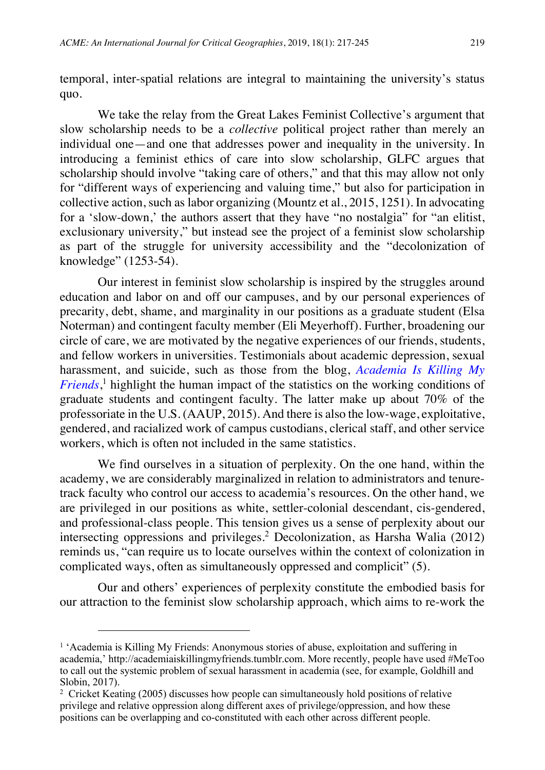temporal, inter-spatial relations are integral to maintaining the university's status quo.

We take the relay from the Great Lakes Feminist Collective's argument that slow scholarship needs to be a *collective* political project rather than merely an individual one—and one that addresses power and inequality in the university. In introducing a feminist ethics of care into slow scholarship, GLFC argues that scholarship should involve "taking care of others," and that this may allow not only for "different ways of experiencing and valuing time," but also for participation in collective action, such as labor organizing (Mountz et al., 2015, 1251). In advocating for a 'slow-down,' the authors assert that they have "no nostalgia" for "an elitist, exclusionary university," but instead see the project of a feminist slow scholarship as part of the struggle for university accessibility and the "decolonization of knowledge" (1253-54).

Our interest in feminist slow scholarship is inspired by the struggles around education and labor on and off our campuses, and by our personal experiences of precarity, debt, shame, and marginality in our positions as a graduate student (Elsa Noterman) and contingent faculty member (Eli Meyerhoff). Further, broadening our circle of care, we are motivated by the negative experiences of our friends, students, and fellow workers in universities. Testimonials about academic depression, sexual harassment, and suicide, such as those from the blog, *Academia Is Killing My Friends*, <sup>1</sup> highlight the human impact of the statistics on the working conditions of graduate students and contingent faculty. The latter make up about 70% of the professoriate in the U.S. (AAUP, 2015). And there is also the low-wage, exploitative, gendered, and racialized work of campus custodians, clerical staff, and other service workers, which is often not included in the same statistics.

We find ourselves in a situation of perplexity. On the one hand, within the academy, we are considerably marginalized in relation to administrators and tenuretrack faculty who control our access to academia's resources. On the other hand, we are privileged in our positions as white, settler-colonial descendant, cis-gendered, and professional-class people. This tension gives us a sense of perplexity about our intersecting oppressions and privileges.<sup>2</sup> Decolonization, as Harsha Walia (2012) reminds us, "can require us to locate ourselves within the context of colonization in complicated ways, often as simultaneously oppressed and complicit" (5).

Our and others' experiences of perplexity constitute the embodied basis for our attraction to the feminist slow scholarship approach, which aims to re-work the

l

 $<sup>1</sup>$  'Academia is Killing My Friends: Anonymous stories of abuse, exploitation and suffering in</sup> academia,' http://academiaiskillingmyfriends.tumblr.com. More recently, people have used #MeToo to call out the systemic problem of sexual harassment in academia (see, for example, Goldhill and Slobin, 2017).

 $2$  Cricket Keating (2005) discusses how people can simultaneously hold positions of relative privilege and relative oppression along different axes of privilege/oppression, and how these positions can be overlapping and co-constituted with each other across different people.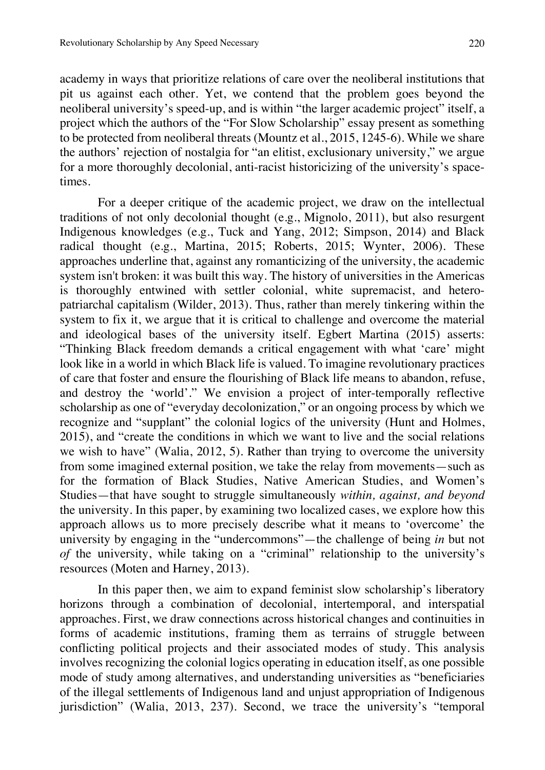academy in ways that prioritize relations of care over the neoliberal institutions that pit us against each other. Yet, we contend that the problem goes beyond the neoliberal university's speed-up, and is within "the larger academic project" itself, a project which the authors of the "For Slow Scholarship" essay present as something to be protected from neoliberal threats (Mountz et al., 2015, 1245-6). While we share the authors' rejection of nostalgia for "an elitist, exclusionary university," we argue for a more thoroughly decolonial, anti-racist historicizing of the university's spacetimes.

For a deeper critique of the academic project, we draw on the intellectual traditions of not only decolonial thought (e.g., Mignolo, 2011), but also resurgent Indigenous knowledges (e.g., Tuck and Yang, 2012; Simpson, 2014) and Black radical thought (e.g., Martina, 2015; Roberts, 2015; Wynter, 2006). These approaches underline that, against any romanticizing of the university, the academic system isn't broken: it was built this way. The history of universities in the Americas is thoroughly entwined with settler colonial, white supremacist, and heteropatriarchal capitalism (Wilder, 2013). Thus, rather than merely tinkering within the system to fix it, we argue that it is critical to challenge and overcome the material and ideological bases of the university itself. Egbert Martina (2015) asserts: "Thinking Black freedom demands a critical engagement with what 'care' might look like in a world in which Black life is valued. To imagine revolutionary practices of care that foster and ensure the flourishing of Black life means to abandon, refuse, and destroy the 'world'." We envision a project of inter-temporally reflective scholarship as one of "everyday decolonization," or an ongoing process by which we recognize and "supplant" the colonial logics of the university (Hunt and Holmes, 2015), and "create the conditions in which we want to live and the social relations we wish to have" (Walia, 2012, 5). Rather than trying to overcome the university from some imagined external position, we take the relay from movements—such as for the formation of Black Studies, Native American Studies, and Women's Studies—that have sought to struggle simultaneously *within, against, and beyond* the university. In this paper, by examining two localized cases, we explore how this approach allows us to more precisely describe what it means to 'overcome' the university by engaging in the "undercommons"—the challenge of being *in* but not *of* the university, while taking on a "criminal" relationship to the university's resources (Moten and Harney, 2013).

In this paper then, we aim to expand feminist slow scholarship's liberatory horizons through a combination of decolonial, intertemporal, and interspatial approaches. First, we draw connections across historical changes and continuities in forms of academic institutions, framing them as terrains of struggle between conflicting political projects and their associated modes of study. This analysis involves recognizing the colonial logics operating in education itself, as one possible mode of study among alternatives, and understanding universities as "beneficiaries of the illegal settlements of Indigenous land and unjust appropriation of Indigenous jurisdiction" (Walia, 2013, 237). Second, we trace the university's "temporal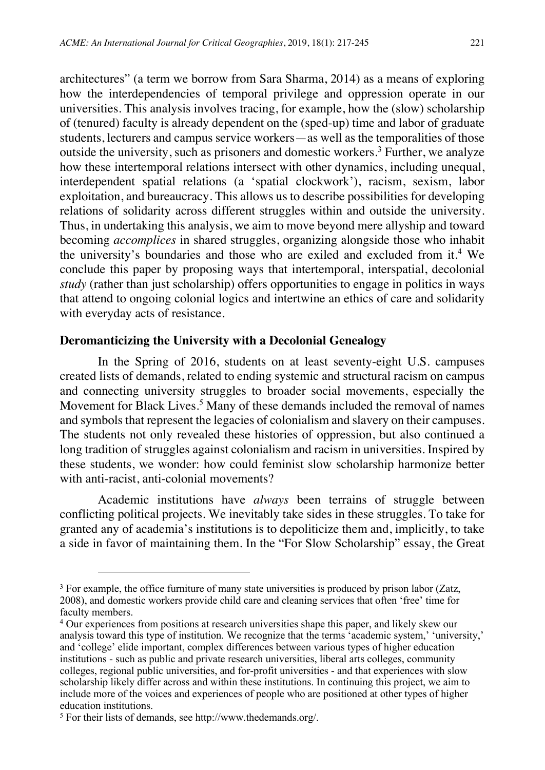architectures" (a term we borrow from Sara Sharma, 2014) as a means of exploring how the interdependencies of temporal privilege and oppression operate in our universities. This analysis involves tracing, for example, how the (slow) scholarship of (tenured) faculty is already dependent on the (sped-up) time and labor of graduate students, lecturers and campus service workers—as well as the temporalities of those outside the university, such as prisoners and domestic workers.<sup>3</sup> Further, we analyze how these intertemporal relations intersect with other dynamics, including unequal, interdependent spatial relations (a 'spatial clockwork'), racism, sexism, labor exploitation, and bureaucracy. This allows us to describe possibilities for developing relations of solidarity across different struggles within and outside the university. Thus, in undertaking this analysis, we aim to move beyond mere allyship and toward becoming *accomplices* in shared struggles, organizing alongside those who inhabit the university's boundaries and those who are exiled and excluded from it.<sup>4</sup> We conclude this paper by proposing ways that intertemporal, interspatial, decolonial *study* (rather than just scholarship) offers opportunities to engage in politics in ways that attend to ongoing colonial logics and intertwine an ethics of care and solidarity with everyday acts of resistance.

#### **Deromanticizing the University with a Decolonial Genealogy**

In the Spring of 2016, students on at least seventy-eight U.S. campuses created lists of demands, related to ending systemic and structural racism on campus and connecting university struggles to broader social movements, especially the Movement for Black Lives.<sup>5</sup> Many of these demands included the removal of names and symbols that represent the legacies of colonialism and slavery on their campuses. The students not only revealed these histories of oppression, but also continued a long tradition of struggles against colonialism and racism in universities. Inspired by these students, we wonder: how could feminist slow scholarship harmonize better with anti-racist, anti-colonial movements?

Academic institutions have *always* been terrains of struggle between conflicting political projects. We inevitably take sides in these struggles. To take for granted any of academia's institutions is to depoliticize them and, implicitly, to take a side in favor of maintaining them. In the "For Slow Scholarship" essay, the Great

 $3$  For example, the office furniture of many state universities is produced by prison labor (Zatz, 2008), and domestic workers provide child care and cleaning services that often 'free' time for faculty members.

<sup>4</sup> Our experiences from positions at research universities shape this paper, and likely skew our analysis toward this type of institution. We recognize that the terms 'academic system,' 'university,' and 'college' elide important, complex differences between various types of higher education institutions - such as public and private research universities, liberal arts colleges, community colleges, regional public universities, and for-profit universities - and that experiences with slow scholarship likely differ across and within these institutions. In continuing this project, we aim to include more of the voices and experiences of people who are positioned at other types of higher education institutions.

<sup>5</sup> For their lists of demands, see http://www.thedemands.org/.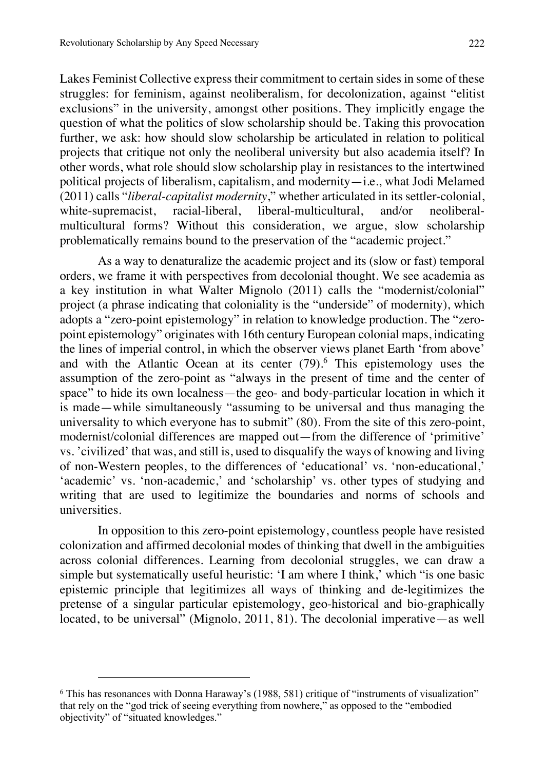Lakes Feminist Collective express their commitment to certain sides in some of these struggles: for feminism, against neoliberalism, for decolonization, against "elitist exclusions" in the university, amongst other positions. They implicitly engage the question of what the politics of slow scholarship should be. Taking this provocation further, we ask: how should slow scholarship be articulated in relation to political projects that critique not only the neoliberal university but also academia itself? In other words, what role should slow scholarship play in resistances to the intertwined political projects of liberalism, capitalism, and modernity—i.e., what Jodi Melamed (2011) calls "*liberal-capitalist modernity*," whether articulated in its settler-colonial, white-supremacist, racial-liberal, liberal-multicultural, and/or neoliberalmulticultural forms? Without this consideration, we argue, slow scholarship problematically remains bound to the preservation of the "academic project."

As a way to denaturalize the academic project and its (slow or fast) temporal orders, we frame it with perspectives from decolonial thought. We see academia as a key institution in what Walter Mignolo (2011) calls the "modernist/colonial" project (a phrase indicating that coloniality is the "underside" of modernity), which adopts a "zero-point epistemology" in relation to knowledge production. The "zeropoint epistemology" originates with 16th century European colonial maps, indicating the lines of imperial control, in which the observer views planet Earth 'from above' and with the Atlantic Ocean at its center  $(79)^6$ . This epistemology uses the assumption of the zero-point as "always in the present of time and the center of space" to hide its own localness—the geo- and body-particular location in which it is made—while simultaneously "assuming to be universal and thus managing the universality to which everyone has to submit" (80). From the site of this zero-point, modernist/colonial differences are mapped out—from the difference of 'primitive' vs. 'civilized' that was, and still is, used to disqualify the ways of knowing and living of non-Western peoples, to the differences of 'educational' vs. 'non-educational,' 'academic' vs. 'non-academic,' and 'scholarship' vs. other types of studying and writing that are used to legitimize the boundaries and norms of schools and universities.

In opposition to this zero-point epistemology, countless people have resisted colonization and affirmed decolonial modes of thinking that dwell in the ambiguities across colonial differences. Learning from decolonial struggles, we can draw a simple but systematically useful heuristic: 'I am where I think,' which "is one basic epistemic principle that legitimizes all ways of thinking and de-legitimizes the pretense of a singular particular epistemology, geo-historical and bio-graphically located, to be universal" (Mignolo, 2011, 81). The decolonial imperative—as well

<sup>6</sup> This has resonances with Donna Haraway's (1988, 581) critique of "instruments of visualization" that rely on the "god trick of seeing everything from nowhere," as opposed to the "embodied objectivity" of "situated knowledges."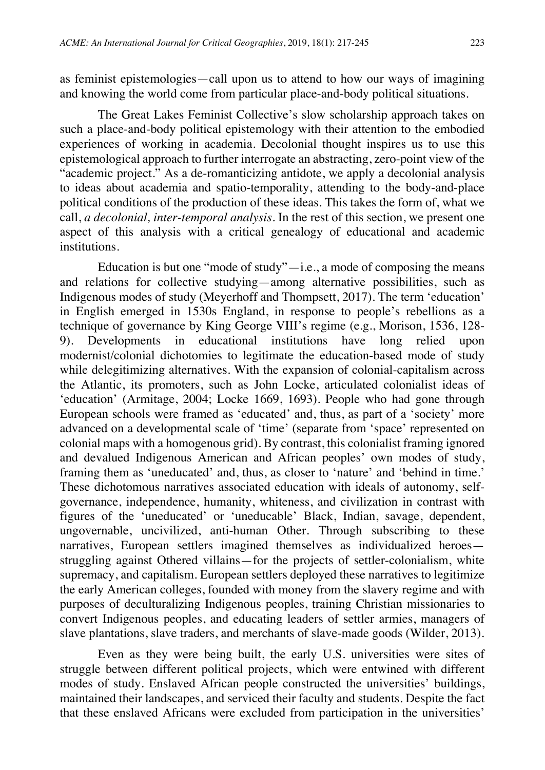as feminist epistemologies—call upon us to attend to how our ways of imagining and knowing the world come from particular place-and-body political situations.

The Great Lakes Feminist Collective's slow scholarship approach takes on such a place-and-body political epistemology with their attention to the embodied experiences of working in academia. Decolonial thought inspires us to use this epistemological approach to further interrogate an abstracting, zero-point view of the "academic project." As a de-romanticizing antidote, we apply a decolonial analysis to ideas about academia and spatio-temporality, attending to the body-and-place political conditions of the production of these ideas. This takes the form of, what we call, *a decolonial, inter-temporal analysis*. In the rest of this section, we present one aspect of this analysis with a critical genealogy of educational and academic institutions.

Education is but one "mode of study" $-i.e., a$  mode of composing the means and relations for collective studying—among alternative possibilities, such as Indigenous modes of study (Meyerhoff and Thompsett, 2017). The term 'education' in English emerged in 1530s England, in response to people's rebellions as a technique of governance by King George VIII's regime (e.g., Morison, 1536, 128- 9). Developments in educational institutions have long relied upon modernist/colonial dichotomies to legitimate the education-based mode of study while delegitimizing alternatives. With the expansion of colonial-capitalism across the Atlantic, its promoters, such as John Locke, articulated colonialist ideas of 'education' (Armitage, 2004; Locke 1669, 1693). People who had gone through European schools were framed as 'educated' and, thus, as part of a 'society' more advanced on a developmental scale of 'time' (separate from 'space' represented on colonial maps with a homogenous grid). By contrast, this colonialist framing ignored and devalued Indigenous American and African peoples' own modes of study, framing them as 'uneducated' and, thus, as closer to 'nature' and 'behind in time.' These dichotomous narratives associated education with ideals of autonomy, selfgovernance, independence, humanity, whiteness, and civilization in contrast with figures of the 'uneducated' or 'uneducable' Black, Indian, savage, dependent, ungovernable, uncivilized, anti-human Other. Through subscribing to these narratives, European settlers imagined themselves as individualized heroes struggling against Othered villains—for the projects of settler-colonialism, white supremacy, and capitalism. European settlers deployed these narratives to legitimize the early American colleges, founded with money from the slavery regime and with purposes of deculturalizing Indigenous peoples, training Christian missionaries to convert Indigenous peoples, and educating leaders of settler armies, managers of slave plantations, slave traders, and merchants of slave-made goods (Wilder, 2013).

Even as they were being built, the early U.S. universities were sites of struggle between different political projects, which were entwined with different modes of study. Enslaved African people constructed the universities' buildings, maintained their landscapes, and serviced their faculty and students. Despite the fact that these enslaved Africans were excluded from participation in the universities'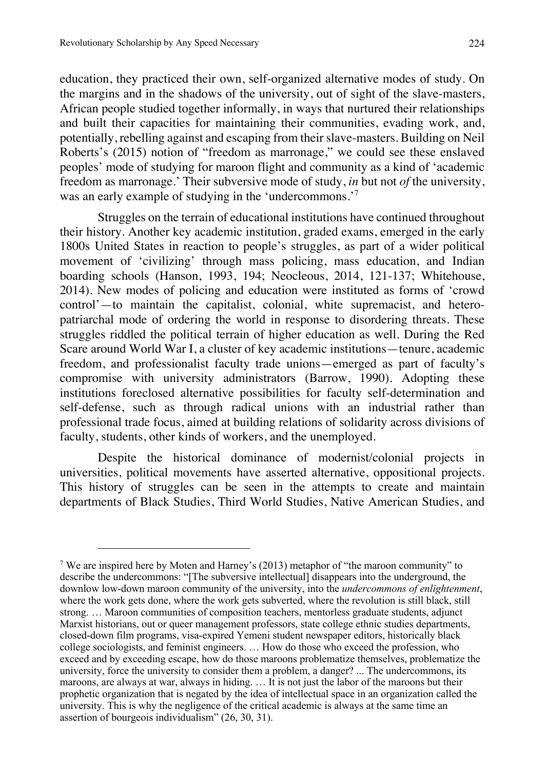$\overline{a}$ 

education, they practiced their own, self-organized alternative modes of study. On the margins and in the shadows of the university, out of sight of the slave-masters, African people studied together informally, in ways that nurtured their relationships and built their capacities for maintaining their communities, evading work, and, potentially, rebelling against and escaping from their slave-masters. Building on Neil Roberts's (2015) notion of "freedom as marronage," we could see these enslaved peoples' mode of studying for maroon flight and community as a kind of 'academic freedom as marronage.' Their subversive mode of study, *in* but not *of* the university, was an early example of studying in the 'undercommons.'<sup>7</sup>

Struggles on the terrain of educational institutions have continued throughout their history. Another key academic institution, graded exams, emerged in the early 1800s United States in reaction to people's struggles, as part of a wider political movement of 'civilizing' through mass policing, mass education, and Indian boarding schools (Hanson, 1993, 194; Neocleous, 2014, 121-137; Whitehouse, 2014). New modes of policing and education were instituted as forms of 'crowd control'—to maintain the capitalist, colonial, white supremacist, and heteropatriarchal mode of ordering the world in response to disordering threats. These struggles riddled the political terrain of higher education as well. During the Red Scare around World War I, a cluster of key academic institutions—tenure, academic freedom, and professionalist faculty trade unions—emerged as part of faculty's compromise with university administrators (Barrow, 1990). Adopting these institutions foreclosed alternative possibilities for faculty self-determination and self-defense, such as through radical unions with an industrial rather than professional trade focus, aimed at building relations of solidarity across divisions of faculty, students, other kinds of workers, and the unemployed.

Despite the historical dominance of modernist/colonial projects in universities, political movements have asserted alternative, oppositional projects. This history of struggles can be seen in the attempts to create and maintain departments of Black Studies, Third World Studies, Native American Studies, and

<sup>7</sup> We are inspired here by Moten and Harney's (2013) metaphor of "the maroon community" to describe the undercommons: "[The subversive intellectual] disappears into the underground, the downlow low-down maroon community of the university, into the *undercommons of enlightenment*, where the work gets done, where the work gets subverted, where the revolution is still black, still strong. … Maroon communities of composition teachers, mentorless graduate students, adjunct Marxist historians, out or queer management professors, state college ethnic studies departments, closed-down film programs, visa-expired Yemeni student newspaper editors, historically black college sociologists, and feminist engineers. … How do those who exceed the profession, who exceed and by exceeding escape, how do those maroons problematize themselves, problematize the university, force the university to consider them a problem, a danger? ... The undercommons, its maroons, are always at war, always in hiding. … It is not just the labor of the maroons but their prophetic organization that is negated by the idea of intellectual space in an organization called the university. This is why the negligence of the critical academic is always at the same time an assertion of bourgeois individualism" (26, 30, 31).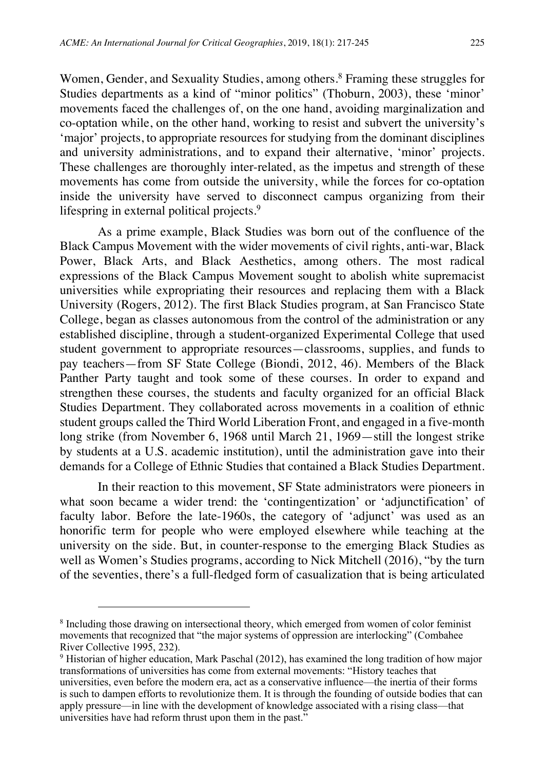Women, Gender, and Sexuality Studies, among others.<sup>8</sup> Framing these struggles for Studies departments as a kind of "minor politics" (Thoburn, 2003), these 'minor' movements faced the challenges of, on the one hand, avoiding marginalization and co-optation while, on the other hand, working to resist and subvert the university's 'major' projects, to appropriate resources for studying from the dominant disciplines and university administrations, and to expand their alternative, 'minor' projects. These challenges are thoroughly inter-related, as the impetus and strength of these movements has come from outside the university, while the forces for co-optation inside the university have served to disconnect campus organizing from their lifespring in external political projects.<sup>9</sup>

As a prime example, Black Studies was born out of the confluence of the Black Campus Movement with the wider movements of civil rights, anti-war, Black Power, Black Arts, and Black Aesthetics, among others. The most radical expressions of the Black Campus Movement sought to abolish white supremacist universities while expropriating their resources and replacing them with a Black University (Rogers, 2012). The first Black Studies program, at San Francisco State College, began as classes autonomous from the control of the administration or any established discipline, through a student-organized Experimental College that used student government to appropriate resources—classrooms, supplies, and funds to pay teachers—from SF State College (Biondi, 2012, 46). Members of the Black Panther Party taught and took some of these courses. In order to expand and strengthen these courses, the students and faculty organized for an official Black Studies Department. They collaborated across movements in a coalition of ethnic student groups called the Third World Liberation Front, and engaged in a five-month long strike (from November 6, 1968 until March 21, 1969—still the longest strike by students at a U.S. academic institution), until the administration gave into their demands for a College of Ethnic Studies that contained a Black Studies Department.

In their reaction to this movement, SF State administrators were pioneers in what soon became a wider trend: the 'contingentization' or 'adjunctification' of faculty labor. Before the late-1960s, the category of 'adjunct' was used as an honorific term for people who were employed elsewhere while teaching at the university on the side. But, in counter-response to the emerging Black Studies as well as Women's Studies programs, according to Nick Mitchell (2016), "by the turn of the seventies, there's a full-fledged form of casualization that is being articulated

<sup>8</sup> Including those drawing on intersectional theory, which emerged from women of color feminist movements that recognized that "the major systems of oppression are interlocking" (Combahee River Collective 1995, 232).

<sup>9</sup> Historian of higher education, Mark Paschal (2012), has examined the long tradition of how major transformations of universities has come from external movements: "History teaches that universities, even before the modern era, act as a conservative influence—the inertia of their forms is such to dampen efforts to revolutionize them. It is through the founding of outside bodies that can apply pressure—in line with the development of knowledge associated with a rising class—that universities have had reform thrust upon them in the past."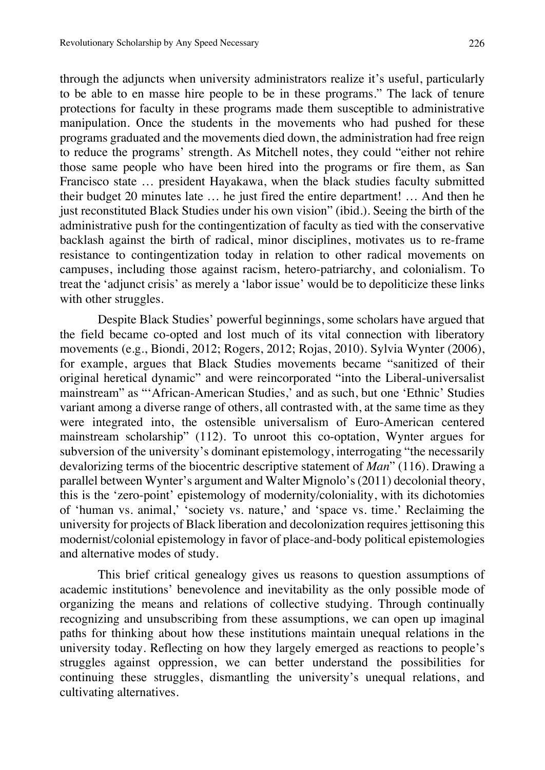through the adjuncts when university administrators realize it's useful, particularly to be able to en masse hire people to be in these programs." The lack of tenure protections for faculty in these programs made them susceptible to administrative manipulation. Once the students in the movements who had pushed for these programs graduated and the movements died down, the administration had free reign to reduce the programs' strength. As Mitchell notes, they could "either not rehire those same people who have been hired into the programs or fire them, as San Francisco state … president Hayakawa, when the black studies faculty submitted their budget 20 minutes late … he just fired the entire department! … And then he just reconstituted Black Studies under his own vision" (ibid.). Seeing the birth of the administrative push for the contingentization of faculty as tied with the conservative backlash against the birth of radical, minor disciplines, motivates us to re-frame resistance to contingentization today in relation to other radical movements on campuses, including those against racism, hetero-patriarchy, and colonialism. To treat the 'adjunct crisis' as merely a 'labor issue' would be to depoliticize these links with other struggles.

Despite Black Studies' powerful beginnings, some scholars have argued that the field became co-opted and lost much of its vital connection with liberatory movements (e.g., Biondi, 2012; Rogers, 2012; Rojas, 2010). Sylvia Wynter (2006), for example, argues that Black Studies movements became "sanitized of their original heretical dynamic" and were reincorporated "into the Liberal-universalist mainstream" as "'African-American Studies,' and as such, but one 'Ethnic' Studies variant among a diverse range of others, all contrasted with, at the same time as they were integrated into, the ostensible universalism of Euro-American centered mainstream scholarship" (112). To unroot this co-optation, Wynter argues for subversion of the university's dominant epistemology, interrogating "the necessarily devalorizing terms of the biocentric descriptive statement of *Man*" (116). Drawing a parallel between Wynter's argument and Walter Mignolo's (2011) decolonial theory, this is the 'zero-point' epistemology of modernity/coloniality, with its dichotomies of 'human vs. animal,' 'society vs. nature,' and 'space vs. time.' Reclaiming the university for projects of Black liberation and decolonization requires jettisoning this modernist/colonial epistemology in favor of place-and-body political epistemologies and alternative modes of study.

This brief critical genealogy gives us reasons to question assumptions of academic institutions' benevolence and inevitability as the only possible mode of organizing the means and relations of collective studying. Through continually recognizing and unsubscribing from these assumptions, we can open up imaginal paths for thinking about how these institutions maintain unequal relations in the university today. Reflecting on how they largely emerged as reactions to people's struggles against oppression, we can better understand the possibilities for continuing these struggles, dismantling the university's unequal relations, and cultivating alternatives.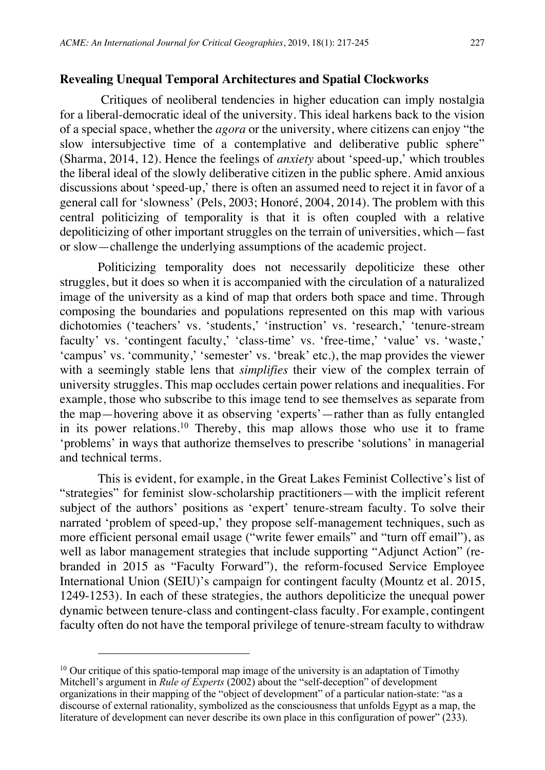#### **Revealing Unequal Temporal Architectures and Spatial Clockworks**

Critiques of neoliberal tendencies in higher education can imply nostalgia for a liberal-democratic ideal of the university. This ideal harkens back to the vision of a special space, whether the *agora* or the university, where citizens can enjoy "the slow intersubjective time of a contemplative and deliberative public sphere" (Sharma, 2014, 12). Hence the feelings of *anxiety* about 'speed-up,' which troubles the liberal ideal of the slowly deliberative citizen in the public sphere. Amid anxious discussions about 'speed-up,' there is often an assumed need to reject it in favor of a general call for 'slowness' (Pels, 2003; Honoré, 2004, 2014). The problem with this central politicizing of temporality is that it is often coupled with a relative depoliticizing of other important struggles on the terrain of universities, which—fast or slow—challenge the underlying assumptions of the academic project.

Politicizing temporality does not necessarily depoliticize these other struggles, but it does so when it is accompanied with the circulation of a naturalized image of the university as a kind of map that orders both space and time. Through composing the boundaries and populations represented on this map with various dichotomies ('teachers' vs. 'students,' 'instruction' vs. 'research,' 'tenure-stream faculty' vs. 'contingent faculty,' 'class-time' vs. 'free-time,' 'value' vs. 'waste,' 'campus' vs. 'community,' 'semester' vs. 'break' etc.), the map provides the viewer with a seemingly stable lens that *simplifies* their view of the complex terrain of university struggles. This map occludes certain power relations and inequalities. For example, those who subscribe to this image tend to see themselves as separate from the map—hovering above it as observing 'experts'—rather than as fully entangled in its power relations.<sup>10</sup> Thereby, this map allows those who use it to frame 'problems' in ways that authorize themselves to prescribe 'solutions' in managerial and technical terms.

This is evident, for example, in the Great Lakes Feminist Collective's list of "strategies" for feminist slow-scholarship practitioners—with the implicit referent subject of the authors' positions as 'expert' tenure-stream faculty. To solve their narrated 'problem of speed-up,' they propose self-management techniques, such as more efficient personal email usage ("write fewer emails" and "turn off email"), as well as labor management strategies that include supporting "Adjunct Action" (rebranded in 2015 as "Faculty Forward"), the reform-focused Service Employee International Union (SEIU)'s campaign for contingent faculty (Mountz et al. 2015, 1249-1253). In each of these strategies, the authors depoliticize the unequal power dynamic between tenure-class and contingent-class faculty. For example, contingent faculty often do not have the temporal privilege of tenure-stream faculty to withdraw

l

 $10$  Our critique of this spatio-temporal map image of the university is an adaptation of Timothy Mitchell's argument in *Rule of Experts* (2002) about the "self-deception" of development organizations in their mapping of the "object of development" of a particular nation-state: "as a discourse of external rationality, symbolized as the consciousness that unfolds Egypt as a map, the literature of development can never describe its own place in this configuration of power" (233).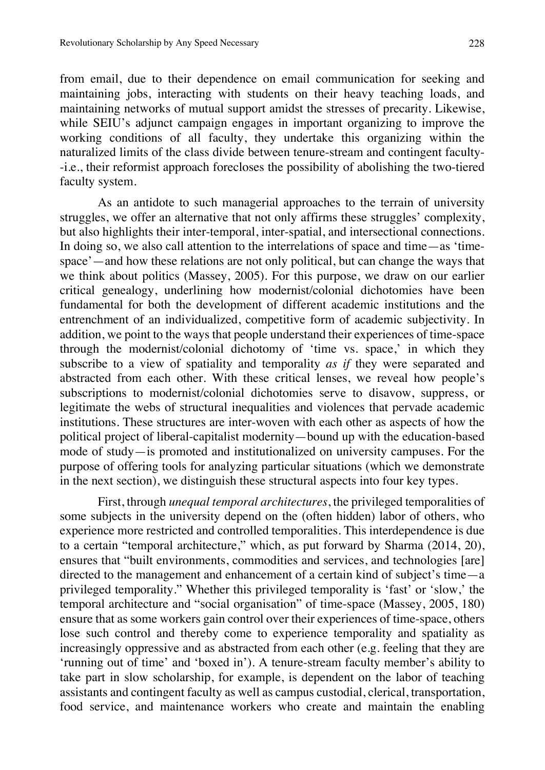from email, due to their dependence on email communication for seeking and maintaining jobs, interacting with students on their heavy teaching loads, and maintaining networks of mutual support amidst the stresses of precarity. Likewise, while SEIU's adjunct campaign engages in important organizing to improve the working conditions of all faculty, they undertake this organizing within the naturalized limits of the class divide between tenure-stream and contingent faculty- -i.e., their reformist approach forecloses the possibility of abolishing the two-tiered faculty system.

As an antidote to such managerial approaches to the terrain of university struggles, we offer an alternative that not only affirms these struggles' complexity, but also highlights their inter-temporal, inter-spatial, and intersectional connections. In doing so, we also call attention to the interrelations of space and time—as 'timespace'—and how these relations are not only political, but can change the ways that we think about politics (Massey, 2005). For this purpose, we draw on our earlier critical genealogy, underlining how modernist/colonial dichotomies have been fundamental for both the development of different academic institutions and the entrenchment of an individualized, competitive form of academic subjectivity. In addition, we point to the ways that people understand their experiences of time-space through the modernist/colonial dichotomy of 'time vs. space,' in which they subscribe to a view of spatiality and temporality *as if* they were separated and abstracted from each other. With these critical lenses, we reveal how people's subscriptions to modernist/colonial dichotomies serve to disavow, suppress, or legitimate the webs of structural inequalities and violences that pervade academic institutions. These structures are inter-woven with each other as aspects of how the political project of liberal-capitalist modernity—bound up with the education-based mode of study—is promoted and institutionalized on university campuses. For the purpose of offering tools for analyzing particular situations (which we demonstrate in the next section), we distinguish these structural aspects into four key types.

First, through *unequal temporal architectures*, the privileged temporalities of some subjects in the university depend on the (often hidden) labor of others, who experience more restricted and controlled temporalities. This interdependence is due to a certain "temporal architecture," which, as put forward by Sharma (2014, 20), ensures that "built environments, commodities and services, and technologies [are] directed to the management and enhancement of a certain kind of subject's time—a privileged temporality." Whether this privileged temporality is 'fast' or 'slow,' the temporal architecture and "social organisation" of time-space (Massey, 2005, 180) ensure that as some workers gain control over their experiences of time-space, others lose such control and thereby come to experience temporality and spatiality as increasingly oppressive and as abstracted from each other (e.g. feeling that they are 'running out of time' and 'boxed in'). A tenure-stream faculty member's ability to take part in slow scholarship, for example, is dependent on the labor of teaching assistants and contingent faculty as well as campus custodial, clerical, transportation, food service, and maintenance workers who create and maintain the enabling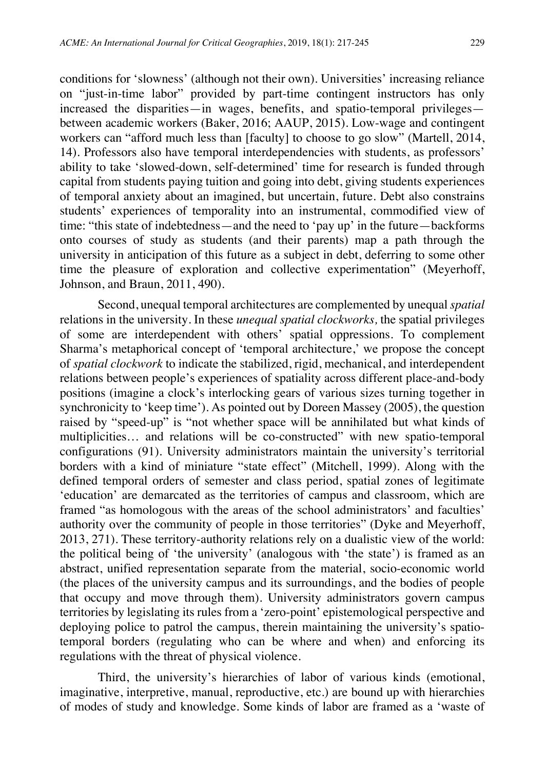conditions for 'slowness' (although not their own). Universities' increasing reliance on "just-in-time labor" provided by part-time contingent instructors has only increased the disparities—in wages, benefits, and spatio-temporal privileges between academic workers (Baker, 2016; AAUP, 2015). Low-wage and contingent workers can "afford much less than [faculty] to choose to go slow" (Martell, 2014, 14). Professors also have temporal interdependencies with students, as professors' ability to take 'slowed-down, self-determined' time for research is funded through capital from students paying tuition and going into debt, giving students experiences of temporal anxiety about an imagined, but uncertain, future. Debt also constrains students' experiences of temporality into an instrumental, commodified view of time: "this state of indebtedness—and the need to 'pay up' in the future—backforms onto courses of study as students (and their parents) map a path through the university in anticipation of this future as a subject in debt, deferring to some other time the pleasure of exploration and collective experimentation" (Meyerhoff, Johnson, and Braun, 2011, 490).

Second, unequal temporal architectures are complemented by unequal *spatial* relations in the university. In these *unequal spatial clockworks,* the spatial privileges of some are interdependent with others' spatial oppressions. To complement Sharma's metaphorical concept of 'temporal architecture,' we propose the concept of *spatial clockwork* to indicate the stabilized, rigid, mechanical, and interdependent relations between people's experiences of spatiality across different place-and-body positions (imagine a clock's interlocking gears of various sizes turning together in synchronicity to 'keep time'). As pointed out by Doreen Massey (2005), the question raised by "speed-up" is "not whether space will be annihilated but what kinds of multiplicities… and relations will be co-constructed" with new spatio-temporal configurations (91). University administrators maintain the university's territorial borders with a kind of miniature "state effect" (Mitchell, 1999). Along with the defined temporal orders of semester and class period, spatial zones of legitimate 'education' are demarcated as the territories of campus and classroom, which are framed "as homologous with the areas of the school administrators' and faculties' authority over the community of people in those territories" (Dyke and Meyerhoff, 2013, 271). These territory-authority relations rely on a dualistic view of the world: the political being of 'the university' (analogous with 'the state') is framed as an abstract, unified representation separate from the material, socio-economic world (the places of the university campus and its surroundings, and the bodies of people that occupy and move through them). University administrators govern campus territories by legislating its rules from a 'zero-point' epistemological perspective and deploying police to patrol the campus, therein maintaining the university's spatiotemporal borders (regulating who can be where and when) and enforcing its regulations with the threat of physical violence.

Third, the university's hierarchies of labor of various kinds (emotional, imaginative, interpretive, manual, reproductive, etc.) are bound up with hierarchies of modes of study and knowledge. Some kinds of labor are framed as a 'waste of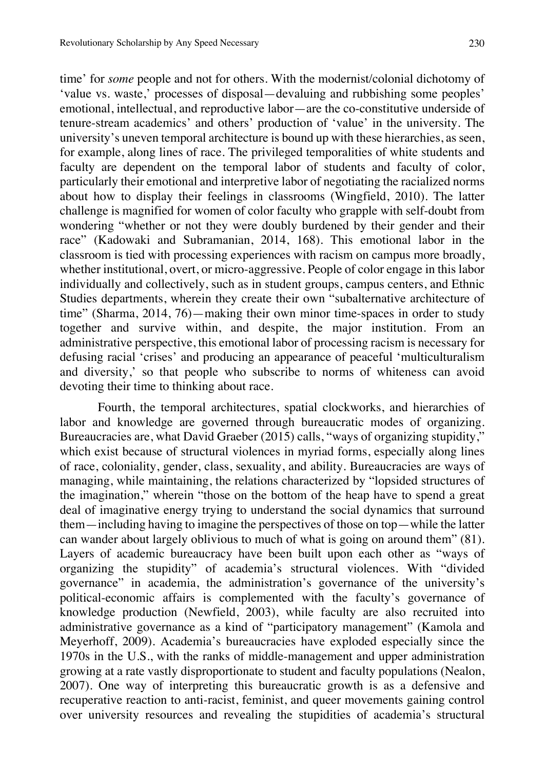time' for *some* people and not for others. With the modernist/colonial dichotomy of 'value vs. waste,' processes of disposal—devaluing and rubbishing some peoples' emotional, intellectual, and reproductive labor—are the co-constitutive underside of tenure-stream academics' and others' production of 'value' in the university. The university's uneven temporal architecture is bound up with these hierarchies, as seen, for example, along lines of race. The privileged temporalities of white students and faculty are dependent on the temporal labor of students and faculty of color, particularly their emotional and interpretive labor of negotiating the racialized norms about how to display their feelings in classrooms (Wingfield, 2010). The latter challenge is magnified for women of color faculty who grapple with self-doubt from wondering "whether or not they were doubly burdened by their gender and their race" (Kadowaki and Subramanian, 2014, 168). This emotional labor in the classroom is tied with processing experiences with racism on campus more broadly, whether institutional, overt, or micro-aggressive. People of color engage in this labor individually and collectively, such as in student groups, campus centers, and Ethnic Studies departments, wherein they create their own "subalternative architecture of time" (Sharma, 2014, 76)—making their own minor time-spaces in order to study together and survive within, and despite, the major institution. From an administrative perspective, this emotional labor of processing racism is necessary for defusing racial 'crises' and producing an appearance of peaceful 'multiculturalism and diversity,' so that people who subscribe to norms of whiteness can avoid devoting their time to thinking about race.

Fourth, the temporal architectures, spatial clockworks, and hierarchies of labor and knowledge are governed through bureaucratic modes of organizing. Bureaucracies are, what David Graeber (2015) calls, "ways of organizing stupidity," which exist because of structural violences in myriad forms, especially along lines of race, coloniality, gender, class, sexuality, and ability. Bureaucracies are ways of managing, while maintaining, the relations characterized by "lopsided structures of the imagination," wherein "those on the bottom of the heap have to spend a great deal of imaginative energy trying to understand the social dynamics that surround them—including having to imagine the perspectives of those on top—while the latter can wander about largely oblivious to much of what is going on around them" (81). Layers of academic bureaucracy have been built upon each other as "ways of organizing the stupidity" of academia's structural violences. With "divided governance" in academia, the administration's governance of the university's political-economic affairs is complemented with the faculty's governance of knowledge production (Newfield, 2003), while faculty are also recruited into administrative governance as a kind of "participatory management" (Kamola and Meyerhoff, 2009). Academia's bureaucracies have exploded especially since the 1970s in the U.S., with the ranks of middle-management and upper administration growing at a rate vastly disproportionate to student and faculty populations (Nealon, 2007). One way of interpreting this bureaucratic growth is as a defensive and recuperative reaction to anti-racist, feminist, and queer movements gaining control over university resources and revealing the stupidities of academia's structural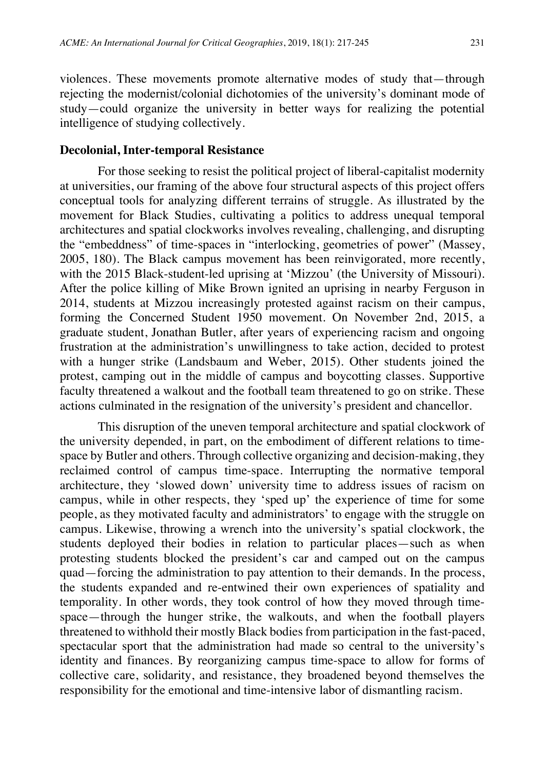violences. These movements promote alternative modes of study that—through rejecting the modernist/colonial dichotomies of the university's dominant mode of study—could organize the university in better ways for realizing the potential intelligence of studying collectively.

#### **Decolonial, Inter-temporal Resistance**

For those seeking to resist the political project of liberal-capitalist modernity at universities, our framing of the above four structural aspects of this project offers conceptual tools for analyzing different terrains of struggle. As illustrated by the movement for Black Studies, cultivating a politics to address unequal temporal architectures and spatial clockworks involves revealing, challenging, and disrupting the "embeddness" of time-spaces in "interlocking, geometries of power" (Massey, 2005, 180). The Black campus movement has been reinvigorated, more recently, with the 2015 Black-student-led uprising at 'Mizzou' (the University of Missouri). After the police killing of Mike Brown ignited an uprising in nearby Ferguson in 2014, students at Mizzou increasingly protested against racism on their campus, forming the Concerned Student 1950 movement. On November 2nd, 2015, a graduate student, Jonathan Butler, after years of experiencing racism and ongoing frustration at the administration's unwillingness to take action, decided to protest with a hunger strike (Landsbaum and Weber, 2015). Other students joined the protest, camping out in the middle of campus and boycotting classes. Supportive faculty threatened a walkout and the football team threatened to go on strike. These actions culminated in the resignation of the university's president and chancellor.

This disruption of the uneven temporal architecture and spatial clockwork of the university depended, in part, on the embodiment of different relations to timespace by Butler and others. Through collective organizing and decision-making, they reclaimed control of campus time-space. Interrupting the normative temporal architecture, they 'slowed down' university time to address issues of racism on campus, while in other respects, they 'sped up' the experience of time for some people, as they motivated faculty and administrators' to engage with the struggle on campus. Likewise, throwing a wrench into the university's spatial clockwork, the students deployed their bodies in relation to particular places—such as when protesting students blocked the president's car and camped out on the campus quad—forcing the administration to pay attention to their demands. In the process, the students expanded and re-entwined their own experiences of spatiality and temporality. In other words, they took control of how they moved through timespace—through the hunger strike, the walkouts, and when the football players threatened to withhold their mostly Black bodies from participation in the fast-paced, spectacular sport that the administration had made so central to the university's identity and finances. By reorganizing campus time-space to allow for forms of collective care, solidarity, and resistance, they broadened beyond themselves the responsibility for the emotional and time-intensive labor of dismantling racism.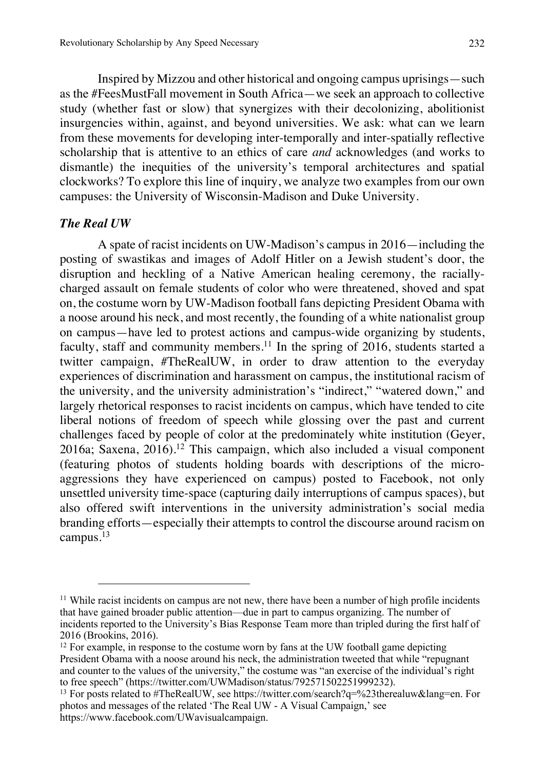Inspired by Mizzou and other historical and ongoing campus uprisings—such as the #FeesMustFall movement in South Africa—we seek an approach to collective study (whether fast or slow) that synergizes with their decolonizing, abolitionist insurgencies within, against, and beyond universities. We ask: what can we learn from these movements for developing inter-temporally and inter-spatially reflective scholarship that is attentive to an ethics of care *and* acknowledges (and works to dismantle) the inequities of the university's temporal architectures and spatial clockworks? To explore this line of inquiry, we analyze two examples from our own campuses: the University of Wisconsin-Madison and Duke University.

#### *The Real UW*

 $\overline{a}$ 

A spate of racist incidents on UW-Madison's campus in 2016—including the posting of swastikas and images of Adolf Hitler on a Jewish student's door, the disruption and heckling of a Native American healing ceremony, the raciallycharged assault on female students of color who were threatened, shoved and spat on, the costume worn by UW-Madison football fans depicting President Obama with a noose around his neck, and most recently, the founding of a white nationalist group on campus—have led to protest actions and campus-wide organizing by students, faculty, staff and community members.<sup>11</sup> In the spring of  $2016$ , students started a twitter campaign, #TheRealUW, in order to draw attention to the everyday experiences of discrimination and harassment on campus, the institutional racism of the university, and the university administration's "indirect," "watered down," and largely rhetorical responses to racist incidents on campus, which have tended to cite liberal notions of freedom of speech while glossing over the past and current challenges faced by people of color at the predominately white institution (Geyer, 2016a; Saxena,  $2016$ <sup>12</sup> This campaign, which also included a visual component (featuring photos of students holding boards with descriptions of the microaggressions they have experienced on campus) posted to Facebook, not only unsettled university time-space (capturing daily interruptions of campus spaces), but also offered swift interventions in the university administration's social media branding efforts—especially their attempts to control the discourse around racism on campus.<sup>13</sup>

<sup>&</sup>lt;sup>11</sup> While racist incidents on campus are not new, there have been a number of high profile incidents that have gained broader public attention—due in part to campus organizing. The number of incidents reported to the University's Bias Response Team more than tripled during the first half of 2016 (Brookins, 2016).

 $12$  For example, in response to the costume worn by fans at the UW football game depicting President Obama with a noose around his neck, the administration tweeted that while "repugnant and counter to the values of the university," the costume was "an exercise of the individual's right to free speech" (https://twitter.com/UWMadison/status/792571502251999232).<br><sup>13</sup> For posts related to #TheRealUW, see https://twitter.com/search?q=%23therealuw&lang=en. For

photos and messages of the related 'The Real UW - A Visual Campaign,' see https://www.facebook.com/UWavisualcampaign.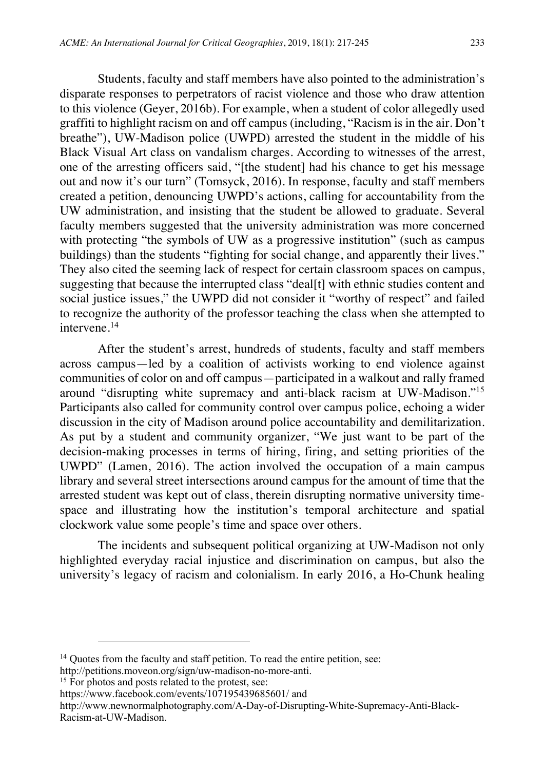Students, faculty and staff members have also pointed to the administration's disparate responses to perpetrators of racist violence and those who draw attention to this violence (Geyer, 2016b). For example, when a student of color allegedly used graffiti to highlight racism on and off campus (including, "Racism is in the air. Don't breathe"), UW-Madison police (UWPD) arrested the student in the middle of his Black Visual Art class on vandalism charges. According to witnesses of the arrest, one of the arresting officers said, "[the student] had his chance to get his message out and now it's our turn" (Tomsyck, 2016). In response, faculty and staff members created a petition, denouncing UWPD's actions, calling for accountability from the UW administration, and insisting that the student be allowed to graduate. Several faculty members suggested that the university administration was more concerned with protecting "the symbols of UW as a progressive institution" (such as campus buildings) than the students "fighting for social change, and apparently their lives." They also cited the seeming lack of respect for certain classroom spaces on campus, suggesting that because the interrupted class "deal[t] with ethnic studies content and social justice issues," the UWPD did not consider it "worthy of respect" and failed to recognize the authority of the professor teaching the class when she attempted to intervene.<sup>14</sup>

After the student's arrest, hundreds of students, faculty and staff members across campus—led by a coalition of activists working to end violence against communities of color on and off campus—participated in a walkout and rally framed around "disrupting white supremacy and anti-black racism at UW-Madison."<sup>15</sup> Participants also called for community control over campus police, echoing a wider discussion in the city of Madison around police accountability and demilitarization. As put by a student and community organizer, "We just want to be part of the decision-making processes in terms of hiring, firing, and setting priorities of the UWPD" (Lamen, 2016). The action involved the occupation of a main campus library and several street intersections around campus for the amount of time that the arrested student was kept out of class, therein disrupting normative university timespace and illustrating how the institution's temporal architecture and spatial clockwork value some people's time and space over others.

The incidents and subsequent political organizing at UW-Madison not only highlighted everyday racial injustice and discrimination on campus, but also the university's legacy of racism and colonialism. In early 2016, a Ho-Chunk healing

<sup>&</sup>lt;sup>14</sup> Quotes from the faculty and staff petition. To read the entire petition, see:

http://petitions.moveon.org/sign/uw-madison-no-more-anti. 15 For photos and posts related to the protest, see:

https://www.facebook.com/events/107195439685601/ and

http://www.newnormalphotography.com/A-Day-of-Disrupting-White-Supremacy-Anti-Black-Racism-at-UW-Madison.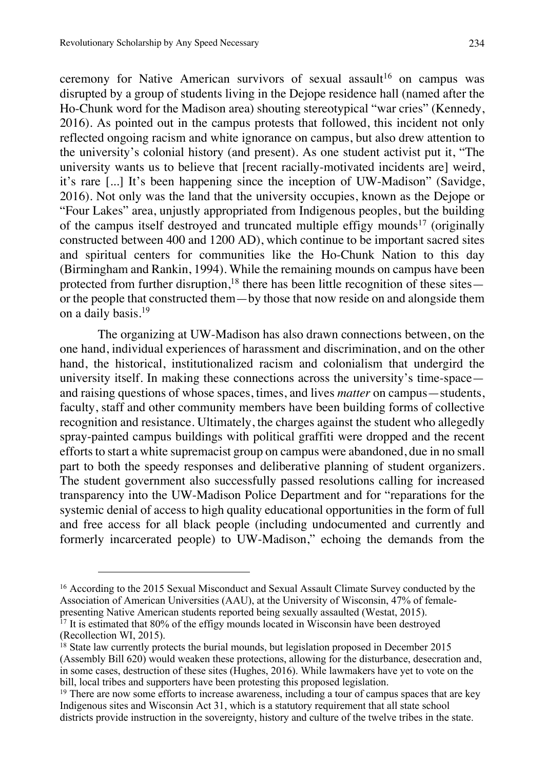ceremony for Native American survivors of sexual assault<sup>16</sup> on campus was disrupted by a group of students living in the Dejope residence hall (named after the Ho-Chunk word for the Madison area) shouting stereotypical "war cries" (Kennedy, 2016). As pointed out in the campus protests that followed, this incident not only reflected ongoing racism and white ignorance on campus, but also drew attention to the university's colonial history (and present). As one student activist put it, "The university wants us to believe that [recent racially-motivated incidents are] weird, it's rare [...] It's been happening since the inception of UW-Madison" (Savidge, 2016). Not only was the land that the university occupies, known as the Dejope or "Four Lakes" area, unjustly appropriated from Indigenous peoples, but the building of the campus itself destroyed and truncated multiple effigy mounds<sup>17</sup> (originally constructed between 400 and 1200 AD), which continue to be important sacred sites and spiritual centers for communities like the Ho-Chunk Nation to this day (Birmingham and Rankin, 1994). While the remaining mounds on campus have been protected from further disruption,<sup>18</sup> there has been little recognition of these sites or the people that constructed them—by those that now reside on and alongside them on a daily basis.<sup>19</sup>

The organizing at UW-Madison has also drawn connections between, on the one hand, individual experiences of harassment and discrimination, and on the other hand, the historical, institutionalized racism and colonialism that undergird the university itself. In making these connections across the university's time-space and raising questions of whose spaces, times, and lives *matter* on campus—students, faculty, staff and other community members have been building forms of collective recognition and resistance. Ultimately, the charges against the student who allegedly spray-painted campus buildings with political graffiti were dropped and the recent efforts to start a white supremacist group on campus were abandoned, due in no small part to both the speedy responses and deliberative planning of student organizers. The student government also successfully passed resolutions calling for increased transparency into the UW-Madison Police Department and for "reparations for the systemic denial of access to high quality educational opportunities in the form of full and free access for all black people (including undocumented and currently and formerly incarcerated people) to UW-Madison," echoing the demands from the

<sup>16</sup> According to the 2015 Sexual Misconduct and Sexual Assault Climate Survey conducted by the Association of American Universities (AAU), at the University of Wisconsin, 47% of femalepresenting Native American students reported being sexually assaulted (Westat, 2015).

<sup>&</sup>lt;sup>17</sup> It is estimated that 80% of the effigy mounds located in Wisconsin have been destroyed (Recollection WI, 2015).

 $18$  State law currently protects the burial mounds, but legislation proposed in December 2015 (Assembly Bill 620) would weaken these protections, allowing for the disturbance, desecration and, in some cases, destruction of these sites (Hughes, 2016). While lawmakers have yet to vote on the bill, local tribes and supporters have been protesting this proposed legislation.

 $19$  There are now some efforts to increase awareness, including a tour of campus spaces that are key Indigenous sites and Wisconsin Act 31, which is a statutory requirement that all state school districts provide instruction in the sovereignty, history and culture of the twelve tribes in the state.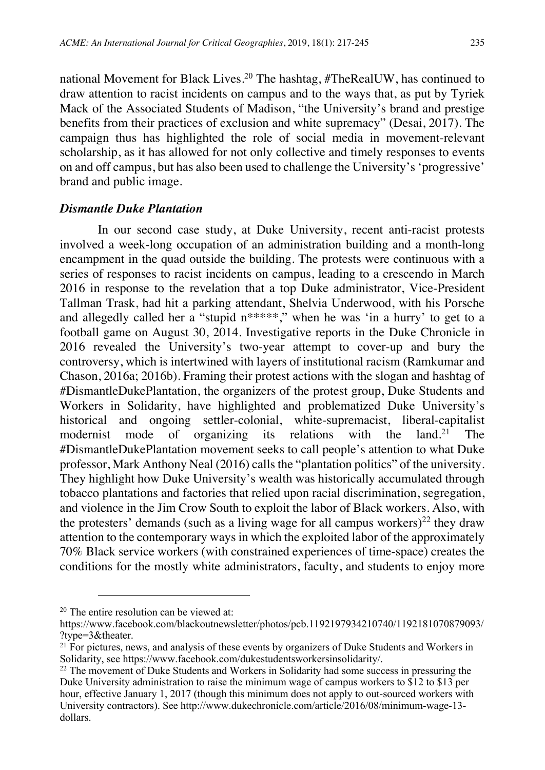national Movement for Black Lives.<sup>20</sup> The hashtag, #TheRealUW, has continued to draw attention to racist incidents on campus and to the ways that, as put by Tyriek Mack of the Associated Students of Madison, "the University's brand and prestige benefits from their practices of exclusion and white supremacy" (Desai, 2017). The campaign thus has highlighted the role of social media in movement-relevant scholarship, as it has allowed for not only collective and timely responses to events on and off campus, but has also been used to challenge the University's 'progressive' brand and public image.

#### *Dismantle Duke Plantation*

In our second case study, at Duke University, recent anti-racist protests involved a week-long occupation of an administration building and a month-long encampment in the quad outside the building. The protests were continuous with a series of responses to racist incidents on campus, leading to a crescendo in March 2016 in response to the revelation that a top Duke administrator, Vice-President Tallman Trask, had hit a parking attendant, Shelvia Underwood, with his Porsche and allegedly called her a "stupid n\*\*\*\*\*," when he was 'in a hurry' to get to a football game on August 30, 2014. Investigative reports in the Duke Chronicle in 2016 revealed the University's two-year attempt to cover-up and bury the controversy, which is intertwined with layers of institutional racism (Ramkumar and Chason, 2016a; 2016b). Framing their protest actions with the slogan and hashtag of #DismantleDukePlantation, the organizers of the protest group, Duke Students and Workers in Solidarity, have highlighted and problematized Duke University's historical and ongoing settler-colonial, white-supremacist, liberal-capitalist modernist mode of organizing its relations with the land.<sup>21</sup> The #DismantleDukePlantation movement seeks to call people's attention to what Duke professor, Mark Anthony Neal (2016) calls the "plantation politics" of the university. They highlight how Duke University's wealth was historically accumulated through tobacco plantations and factories that relied upon racial discrimination, segregation, and violence in the Jim Crow South to exploit the labor of Black workers. Also, with the protesters' demands (such as a living wage for all campus workers)<sup>22</sup> they draw attention to the contemporary ways in which the exploited labor of the approximately 70% Black service workers (with constrained experiences of time-space) creates the conditions for the mostly white administrators, faculty, and students to enjoy more

l

<sup>20</sup> The entire resolution can be viewed at:

https://www.facebook.com/blackoutnewsletter/photos/pcb.1192197934210740/1192181070879093/ ?type=3&theater.

<sup>&</sup>lt;sup>21</sup> For pictures, news, and analysis of these events by organizers of Duke Students and Workers in Solidarity, see https://www.facebook.com/dukestudentsworkersinsolidarity/.

 $^{22}$  The movement of Duke Students and Workers in Solidarity had some success in pressuring the Duke University administration to raise the minimum wage of campus workers to \$12 to \$13 per hour, effective January 1, 2017 (though this minimum does not apply to out-sourced workers with University contractors). See http://www.dukechronicle.com/article/2016/08/minimum-wage-13 dollars.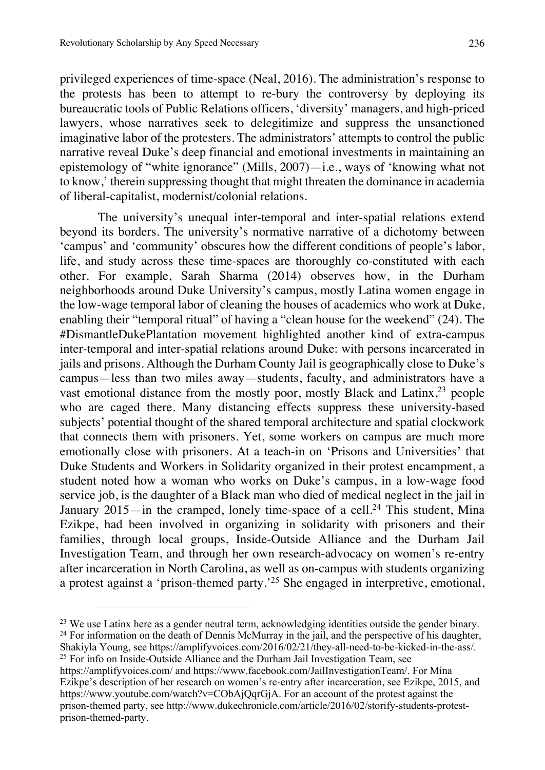$\overline{a}$ 

privileged experiences of time-space (Neal, 2016). The administration's response to the protests has been to attempt to re-bury the controversy by deploying its bureaucratic tools of Public Relations officers, 'diversity' managers, and high-priced lawyers, whose narratives seek to delegitimize and suppress the unsanctioned imaginative labor of the protesters. The administrators' attempts to control the public narrative reveal Duke's deep financial and emotional investments in maintaining an epistemology of "white ignorance" (Mills, 2007)—i.e., ways of 'knowing what not to know,' therein suppressing thought that might threaten the dominance in academia of liberal-capitalist, modernist/colonial relations.

The university's unequal inter-temporal and inter-spatial relations extend beyond its borders. The university's normative narrative of a dichotomy between 'campus' and 'community' obscures how the different conditions of people's labor, life, and study across these time-spaces are thoroughly co-constituted with each other. For example, Sarah Sharma (2014) observes how, in the Durham neighborhoods around Duke University's campus, mostly Latina women engage in the low-wage temporal labor of cleaning the houses of academics who work at Duke, enabling their "temporal ritual" of having a "clean house for the weekend" (24). The #DismantleDukePlantation movement highlighted another kind of extra-campus inter-temporal and inter-spatial relations around Duke: with persons incarcerated in jails and prisons. Although the Durham County Jail is geographically close to Duke's campus—less than two miles away—students, faculty, and administrators have a vast emotional distance from the mostly poor, mostly Black and Latinx,  $2^3$  people who are caged there. Many distancing effects suppress these university-based subjects' potential thought of the shared temporal architecture and spatial clockwork that connects them with prisoners. Yet, some workers on campus are much more emotionally close with prisoners. At a teach-in on 'Prisons and Universities' that Duke Students and Workers in Solidarity organized in their protest encampment, a student noted how a woman who works on Duke's campus, in a low-wage food service job, is the daughter of a Black man who died of medical neglect in the jail in January 2015—in the cramped, lonely time-space of a cell.<sup>24</sup> This student, Mina Ezikpe, had been involved in organizing in solidarity with prisoners and their families, through local groups, Inside-Outside Alliance and the Durham Jail Investigation Team, and through her own research-advocacy on women's re-entry after incarceration in North Carolina, as well as on-campus with students organizing a protest against a 'prison-themed party.'<sup>25</sup> She engaged in interpretive, emotional,

<sup>&</sup>lt;sup>23</sup> We use Latinx here as a gender neutral term, acknowledging identities outside the gender binary. <sup>24</sup> For information on the death of Dennis McMurray in the jail, and the perspective of his daughter,

Shakiyla Young, see https://amplifyvoices.com/2016/02/21/they-all-need-to-be-kicked-in-the-ass/. 25 For info on Inside-Outside Alliance and the Durham Jail Investigation Team, see

https://amplifyvoices.com/ and https://www.facebook.com/JailInvestigationTeam/. For Mina Ezikpe's description of her research on women's re-entry after incarceration, see Ezikpe, 2015, and https://www.youtube.com/watch?v=CObAjQqrGjA. For an account of the protest against the prison-themed party, see http://www.dukechronicle.com/article/2016/02/storify-students-protestprison-themed-party.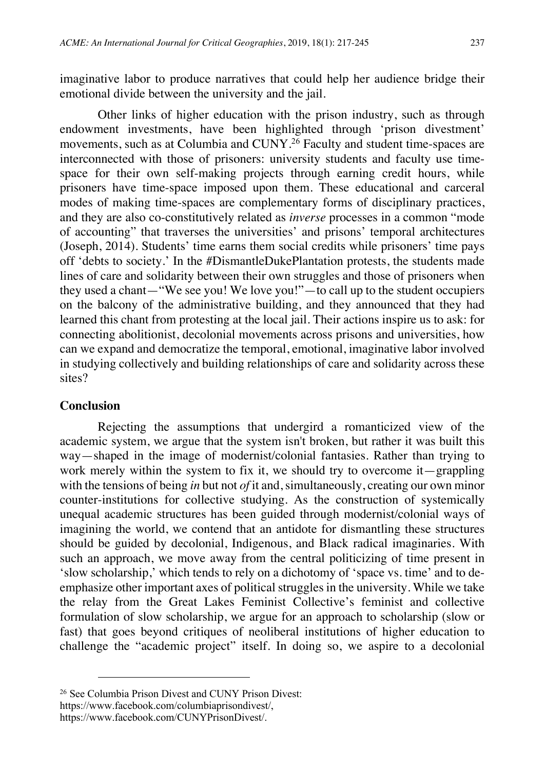imaginative labor to produce narratives that could help her audience bridge their emotional divide between the university and the jail.

Other links of higher education with the prison industry, such as through endowment investments, have been highlighted through 'prison divestment' movements, such as at Columbia and CUNY.<sup>26</sup> Faculty and student time-spaces are interconnected with those of prisoners: university students and faculty use timespace for their own self-making projects through earning credit hours, while prisoners have time-space imposed upon them. These educational and carceral modes of making time-spaces are complementary forms of disciplinary practices, and they are also co-constitutively related as *inverse* processes in a common "mode of accounting" that traverses the universities' and prisons' temporal architectures (Joseph, 2014). Students' time earns them social credits while prisoners' time pays off 'debts to society.' In the #DismantleDukePlantation protests, the students made lines of care and solidarity between their own struggles and those of prisoners when they used a chant—"We see you! We love you!"—to call up to the student occupiers on the balcony of the administrative building, and they announced that they had learned this chant from protesting at the local jail. Their actions inspire us to ask: for connecting abolitionist, decolonial movements across prisons and universities, how can we expand and democratize the temporal, emotional, imaginative labor involved in studying collectively and building relationships of care and solidarity across these sites?

#### **Conclusion**

 $\overline{a}$ 

Rejecting the assumptions that undergird a romanticized view of the academic system, we argue that the system isn't broken, but rather it was built this way—shaped in the image of modernist/colonial fantasies. Rather than trying to work merely within the system to fix it, we should try to overcome it—grappling with the tensions of being *in* but not *of* it and, simultaneously, creating our own minor counter-institutions for collective studying. As the construction of systemically unequal academic structures has been guided through modernist/colonial ways of imagining the world, we contend that an antidote for dismantling these structures should be guided by decolonial, Indigenous, and Black radical imaginaries. With such an approach, we move away from the central politicizing of time present in 'slow scholarship,' which tends to rely on a dichotomy of 'space vs. time' and to deemphasize other important axes of political struggles in the university. While we take the relay from the Great Lakes Feminist Collective's feminist and collective formulation of slow scholarship, we argue for an approach to scholarship (slow or fast) that goes beyond critiques of neoliberal institutions of higher education to challenge the "academic project" itself. In doing so, we aspire to a decolonial

<sup>26</sup> See Columbia Prison Divest and CUNY Prison Divest:

https://www.facebook.com/columbiaprisondivest/,

https://www.facebook.com/CUNYPrisonDivest/.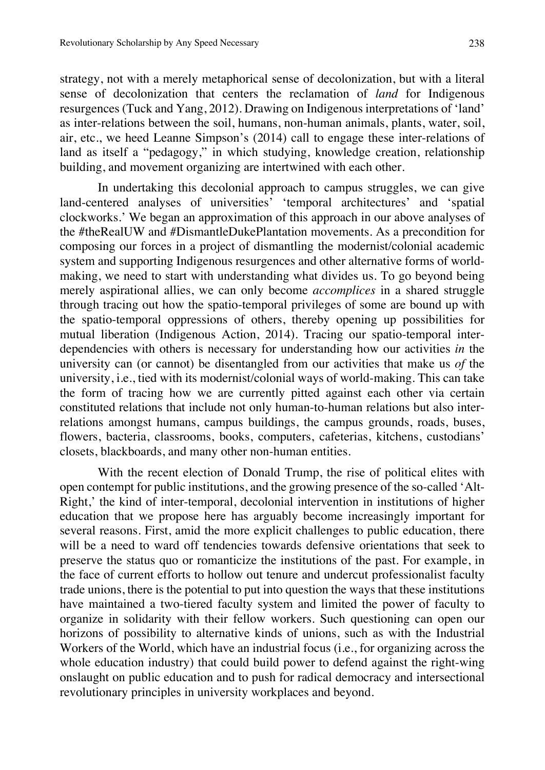strategy, not with a merely metaphorical sense of decolonization, but with a literal sense of decolonization that centers the reclamation of *land* for Indigenous resurgences (Tuck and Yang, 2012). Drawing on Indigenous interpretations of 'land' as inter-relations between the soil, humans, non-human animals, plants, water, soil, air, etc., we heed Leanne Simpson's (2014) call to engage these inter-relations of land as itself a "pedagogy," in which studying, knowledge creation, relationship building, and movement organizing are intertwined with each other.

In undertaking this decolonial approach to campus struggles, we can give land-centered analyses of universities' 'temporal architectures' and 'spatial clockworks.' We began an approximation of this approach in our above analyses of the #theRealUW and #DismantleDukePlantation movements. As a precondition for composing our forces in a project of dismantling the modernist/colonial academic system and supporting Indigenous resurgences and other alternative forms of worldmaking, we need to start with understanding what divides us. To go beyond being merely aspirational allies, we can only become *accomplices* in a shared struggle through tracing out how the spatio-temporal privileges of some are bound up with the spatio-temporal oppressions of others, thereby opening up possibilities for mutual liberation (Indigenous Action, 2014). Tracing our spatio-temporal interdependencies with others is necessary for understanding how our activities *in* the university can (or cannot) be disentangled from our activities that make us *of* the university, i.e., tied with its modernist/colonial ways of world-making. This can take the form of tracing how we are currently pitted against each other via certain constituted relations that include not only human-to-human relations but also interrelations amongst humans, campus buildings, the campus grounds, roads, buses, flowers, bacteria, classrooms, books, computers, cafeterias, kitchens, custodians' closets, blackboards, and many other non-human entities.

With the recent election of Donald Trump, the rise of political elites with open contempt for public institutions, and the growing presence of the so-called 'Alt-Right,' the kind of inter-temporal, decolonial intervention in institutions of higher education that we propose here has arguably become increasingly important for several reasons. First, amid the more explicit challenges to public education, there will be a need to ward off tendencies towards defensive orientations that seek to preserve the status quo or romanticize the institutions of the past. For example, in the face of current efforts to hollow out tenure and undercut professionalist faculty trade unions, there is the potential to put into question the ways that these institutions have maintained a two-tiered faculty system and limited the power of faculty to organize in solidarity with their fellow workers. Such questioning can open our horizons of possibility to alternative kinds of unions, such as with the Industrial Workers of the World, which have an industrial focus (i.e., for organizing across the whole education industry) that could build power to defend against the right-wing onslaught on public education and to push for radical democracy and intersectional revolutionary principles in university workplaces and beyond.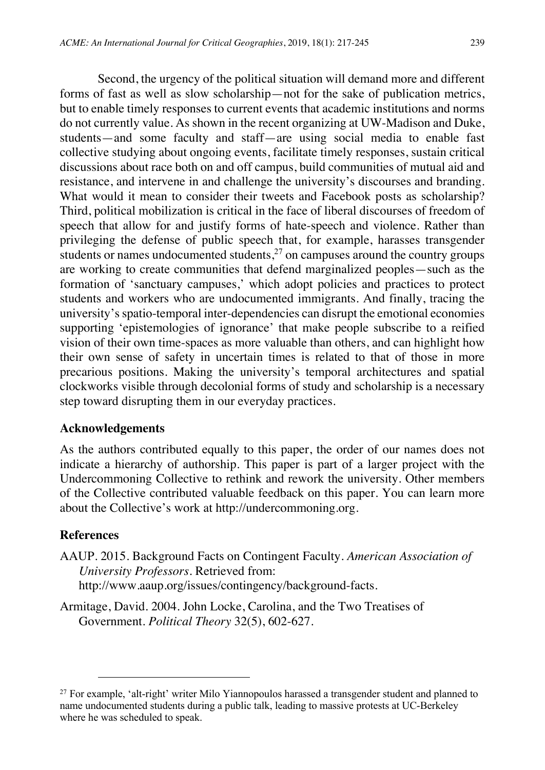Second, the urgency of the political situation will demand more and different forms of fast as well as slow scholarship—not for the sake of publication metrics, but to enable timely responses to current events that academic institutions and norms do not currently value. As shown in the recent organizing at UW-Madison and Duke, students—and some faculty and staff—are using social media to enable fast collective studying about ongoing events, facilitate timely responses, sustain critical discussions about race both on and off campus, build communities of mutual aid and resistance, and intervene in and challenge the university's discourses and branding. What would it mean to consider their tweets and Facebook posts as scholarship? Third, political mobilization is critical in the face of liberal discourses of freedom of speech that allow for and justify forms of hate-speech and violence. Rather than privileging the defense of public speech that, for example, harasses transgender students or names undocumented students, $2<sup>7</sup>$  on campuses around the country groups are working to create communities that defend marginalized peoples—such as the formation of 'sanctuary campuses,' which adopt policies and practices to protect students and workers who are undocumented immigrants. And finally, tracing the university's spatio-temporal inter-dependencies can disrupt the emotional economies supporting 'epistemologies of ignorance' that make people subscribe to a reified vision of their own time-spaces as more valuable than others, and can highlight how their own sense of safety in uncertain times is related to that of those in more precarious positions. Making the university's temporal architectures and spatial clockworks visible through decolonial forms of study and scholarship is a necessary step toward disrupting them in our everyday practices.

#### **Acknowledgements**

As the authors contributed equally to this paper, the order of our names does not indicate a hierarchy of authorship. This paper is part of a larger project with the Undercommoning Collective to rethink and rework the university. Other members of the Collective contributed valuable feedback on this paper. You can learn more about the Collective's work at http://undercommoning.org.

#### **References**

- AAUP. 2015. Background Facts on Contingent Faculty. *American Association of University Professors.* Retrieved from: http://www.aaup.org/issues/contingency/background-facts.
- Armitage, David. 2004. John Locke, Carolina, and the Two Treatises of Government. *Political Theory* 32(5), 602-627.

 $27$  For example, 'alt-right' writer Milo Yiannopoulos harassed a transgender student and planned to name undocumented students during a public talk, leading to massive protests at UC-Berkeley where he was scheduled to speak.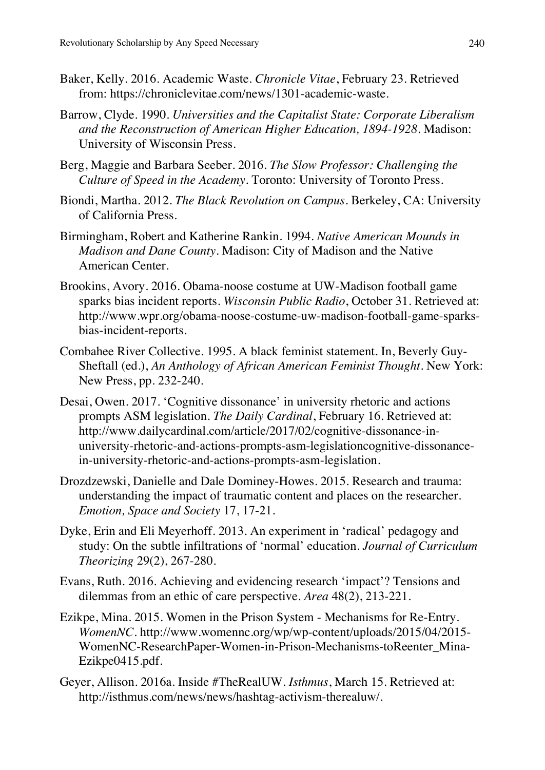- Baker, Kelly. 2016. Academic Waste. *Chronicle Vitae*, February 23. Retrieved from: https://chroniclevitae.com/news/1301-academic-waste.
- Barrow, Clyde. 1990. *Universities and the Capitalist State: Corporate Liberalism and the Reconstruction of American Higher Education, 1894-1928*. Madison: University of Wisconsin Press.
- Berg, Maggie and Barbara Seeber. 2016. *The Slow Professor: Challenging the Culture of Speed in the Academy*. Toronto: University of Toronto Press.
- Biondi, Martha. 2012. *The Black Revolution on Campus*. Berkeley, CA: University of California Press.
- Birmingham, Robert and Katherine Rankin. 1994. *Native American Mounds in Madison and Dane County*. Madison: City of Madison and the Native American Center.
- Brookins, Avory. 2016. Obama-noose costume at UW-Madison football game sparks bias incident reports. *Wisconsin Public Radio*, October 31. Retrieved at: http://www.wpr.org/obama-noose-costume-uw-madison-football-game-sparksbias-incident-reports.
- Combahee River Collective. 1995. A black feminist statement. In, Beverly Guy-Sheftall (ed.), *An Anthology of African American Feminist Thought*. New York: New Press, pp. 232-240.
- Desai, Owen. 2017. 'Cognitive dissonance' in university rhetoric and actions prompts ASM legislation. *The Daily Cardinal*, February 16. Retrieved at: http://www.dailycardinal.com/article/2017/02/cognitive-dissonance-inuniversity-rhetoric-and-actions-prompts-asm-legislationcognitive-dissonancein-university-rhetoric-and-actions-prompts-asm-legislation.
- Drozdzewski, Danielle and Dale Dominey-Howes. 2015. Research and trauma: understanding the impact of traumatic content and places on the researcher. *Emotion, Space and Society* 17, 17-21.
- Dyke, Erin and Eli Meyerhoff. 2013. An experiment in 'radical' pedagogy and study: On the subtle infiltrations of 'normal' education. *Journal of Curriculum Theorizing* 29(2), 267-280.
- Evans, Ruth. 2016. Achieving and evidencing research 'impact'? Tensions and dilemmas from an ethic of care perspective. *Area* 48(2), 213-221.
- Ezikpe, Mina. 2015. Women in the Prison System Mechanisms for Re-Entry. *WomenNC*. http://www.womennc.org/wp/wp-content/uploads/2015/04/2015- WomenNC-ResearchPaper-Women-in-Prison-Mechanisms-toReenter\_Mina-Ezikpe0415.pdf.
- Geyer, Allison. 2016a. Inside #TheRealUW. *Isthmus*, March 15. Retrieved at: http://isthmus.com/news/news/hashtag-activism-therealuw/.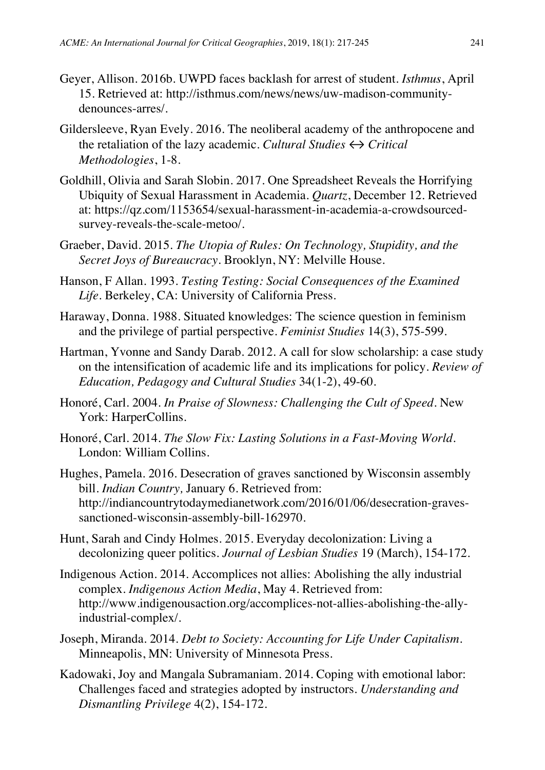- Geyer, Allison. 2016b. UWPD faces backlash for arrest of student. *Isthmus*, April 15. Retrieved at: http://isthmus.com/news/news/uw-madison-communitydenounces-arres/.
- Gildersleeve, Ryan Evely. 2016. The neoliberal academy of the anthropocene and the retaliation of the lazy academic. *Cultural Studies ↔ Critical Methodologies*, 1-8.
- Goldhill, Olivia and Sarah Slobin. 2017. One Spreadsheet Reveals the Horrifying Ubiquity of Sexual Harassment in Academia. *Quartz*, December 12. Retrieved at: https://qz.com/1153654/sexual-harassment-in-academia-a-crowdsourcedsurvey-reveals-the-scale-metoo/.
- Graeber, David. 2015. *The Utopia of Rules: On Technology, Stupidity, and the Secret Joys of Bureaucracy*. Brooklyn, NY: Melville House.
- Hanson, F Allan. 1993. *Testing Testing: Social Consequences of the Examined Life*. Berkeley, CA: University of California Press.
- Haraway, Donna. 1988. Situated knowledges: The science question in feminism and the privilege of partial perspective. *Feminist Studies* 14(3), 575-599.
- Hartman, Yvonne and Sandy Darab. 2012. A call for slow scholarship: a case study on the intensification of academic life and its implications for policy. *Review of Education, Pedagogy and Cultural Studies* 34(1-2), 49-60.
- Honoré, Carl. 2004. *In Praise of Slowness: Challenging the Cult of Speed.* New York: HarperCollins.
- Honoré, Carl. 2014. *The Slow Fix: Lasting Solutions in a Fast-Moving World.*  London: William Collins.
- Hughes, Pamela. 2016. Desecration of graves sanctioned by Wisconsin assembly bill. *Indian Country,* January 6. Retrieved from: http://indiancountrytodaymedianetwork.com/2016/01/06/desecration-gravessanctioned-wisconsin-assembly-bill-162970.
- Hunt, Sarah and Cindy Holmes. 2015. Everyday decolonization: Living a decolonizing queer politics. *Journal of Lesbian Studies* 19 (March), 154-172.
- Indigenous Action. 2014. Accomplices not allies: Abolishing the ally industrial complex. *Indigenous Action Media*, May 4. Retrieved from: http://www.indigenousaction.org/accomplices-not-allies-abolishing-the-allyindustrial-complex/.
- Joseph, Miranda. 2014. *Debt to Society: Accounting for Life Under Capitalism*. Minneapolis, MN: University of Minnesota Press.
- Kadowaki, Joy and Mangala Subramaniam. 2014. Coping with emotional labor: Challenges faced and strategies adopted by instructors. *Understanding and Dismantling Privilege* 4(2), 154-172.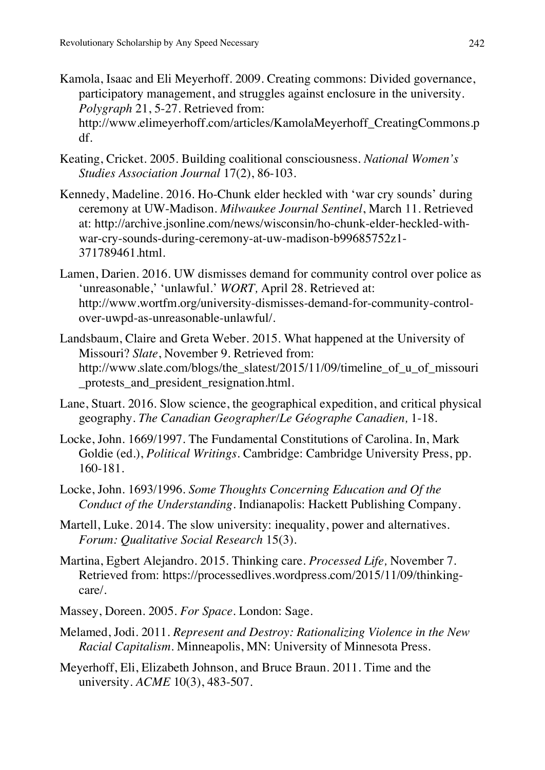- Kamola, Isaac and Eli Meyerhoff. 2009. Creating commons: Divided governance, participatory management, and struggles against enclosure in the university. *Polygraph* 21, 5-27. Retrieved from: http://www.elimeyerhoff.com/articles/KamolaMeyerhoff\_CreatingCommons.p df.
- Keating, Cricket. 2005. Building coalitional consciousness. *National Women's Studies Association Journal* 17(2), 86-103.
- Kennedy, Madeline. 2016. Ho-Chunk elder heckled with 'war cry sounds' during ceremony at UW-Madison. *Milwaukee Journal Sentinel*, March 11. Retrieved at: http://archive.jsonline.com/news/wisconsin/ho-chunk-elder-heckled-withwar-cry-sounds-during-ceremony-at-uw-madison-b99685752z1- 371789461.html.
- Lamen, Darien. 2016. UW dismisses demand for community control over police as 'unreasonable,' 'unlawful.' *WORT,* April 28. Retrieved at: http://www.wortfm.org/university-dismisses-demand-for-community-controlover-uwpd-as-unreasonable-unlawful/.
- Landsbaum, Claire and Greta Weber. 2015. What happened at the University of Missouri? *Slate*, November 9. Retrieved from: http://www.slate.com/blogs/the\_slatest/2015/11/09/timeline\_of\_u\_of\_missouri \_protests\_and\_president\_resignation.html.
- Lane, Stuart. 2016. Slow science, the geographical expedition, and critical physical geography. *The Canadian Geographer/Le Géographe Canadien,* 1-18.
- Locke, John. 1669/1997. The Fundamental Constitutions of Carolina. In, Mark Goldie (ed.), *Political Writings*. Cambridge: Cambridge University Press, pp. 160-181.
- Locke, John. 1693/1996. *Some Thoughts Concerning Education and Of the Conduct of the Understanding.* Indianapolis: Hackett Publishing Company.
- Martell, Luke. 2014. The slow university: inequality, power and alternatives. *Forum: Qualitative Social Research* 15(3).
- Martina, Egbert Alejandro. 2015. Thinking care. *Processed Life,* November 7. Retrieved from: https://processedlives.wordpress.com/2015/11/09/thinkingcare/.
- Massey, Doreen. 2005. *For Space.* London: Sage.
- Melamed, Jodi. 2011. *Represent and Destroy: Rationalizing Violence in the New Racial Capitalism*. Minneapolis, MN: University of Minnesota Press.
- Meyerhoff, Eli, Elizabeth Johnson, and Bruce Braun. 2011. Time and the university. *ACME* 10(3), 483-507.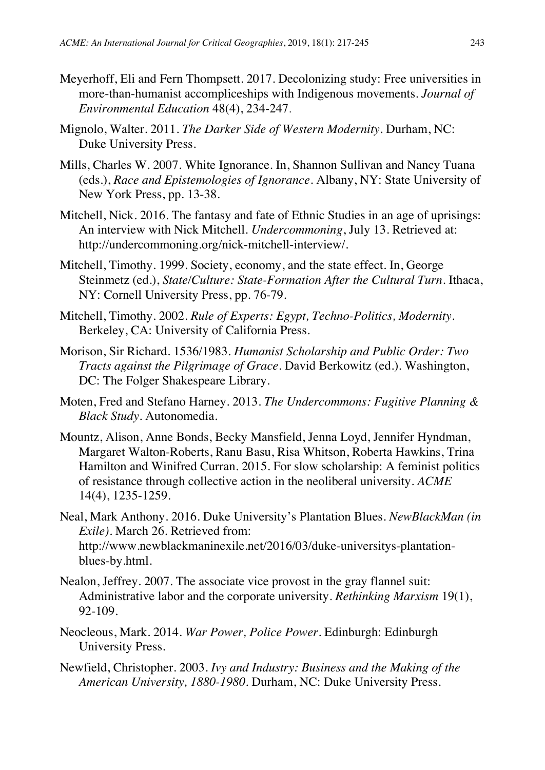- Meyerhoff, Eli and Fern Thompsett. 2017. Decolonizing study: Free universities in more-than-humanist accompliceships with Indigenous movements. *Journal of Environmental Education* 48(4), 234-247.
- Mignolo, Walter. 2011. *The Darker Side of Western Modernity*. Durham, NC: Duke University Press.
- Mills, Charles W. 2007. White Ignorance. In, Shannon Sullivan and Nancy Tuana (eds.), *Race and Epistemologies of Ignorance*. Albany, NY: State University of New York Press, pp. 13-38.
- Mitchell, Nick. 2016. The fantasy and fate of Ethnic Studies in an age of uprisings: An interview with Nick Mitchell. *Undercommoning*, July 13. Retrieved at: http://undercommoning.org/nick-mitchell-interview/.
- Mitchell, Timothy. 1999. Society, economy, and the state effect. In, George Steinmetz (ed.), *State/Culture: State-Formation After the Cultural Turn*. Ithaca, NY: Cornell University Press, pp. 76-79.
- Mitchell, Timothy. 2002. *Rule of Experts: Egypt, Techno-Politics, Modernity*. Berkeley, CA: University of California Press.
- Morison, Sir Richard. 1536/1983. *Humanist Scholarship and Public Order: Two Tracts against the Pilgrimage of Grace*. David Berkowitz (ed.). Washington, DC: The Folger Shakespeare Library.
- Moten, Fred and Stefano Harney. 2013. *The Undercommons: Fugitive Planning & Black Study*. Autonomedia.
- Mountz, Alison, Anne Bonds, Becky Mansfield, Jenna Loyd, Jennifer Hyndman, Margaret Walton-Roberts, Ranu Basu, Risa Whitson, Roberta Hawkins, Trina Hamilton and Winifred Curran. 2015. For slow scholarship: A feminist politics of resistance through collective action in the neoliberal university. *ACME* 14(4), 1235-1259.
- Neal, Mark Anthony. 2016. Duke University's Plantation Blues. *NewBlackMan (in Exile).* March 26. Retrieved from: http://www.newblackmaninexile.net/2016/03/duke-universitys-plantationblues-by.html.
- Nealon, Jeffrey. 2007. The associate vice provost in the gray flannel suit: Administrative labor and the corporate university. *Rethinking Marxism* 19(1), 92-109.
- Neocleous, Mark. 2014. *War Power, Police Power*. Edinburgh: Edinburgh University Press.
- Newfield, Christopher. 2003. *Ivy and Industry: Business and the Making of the American University, 1880-1980*. Durham, NC: Duke University Press.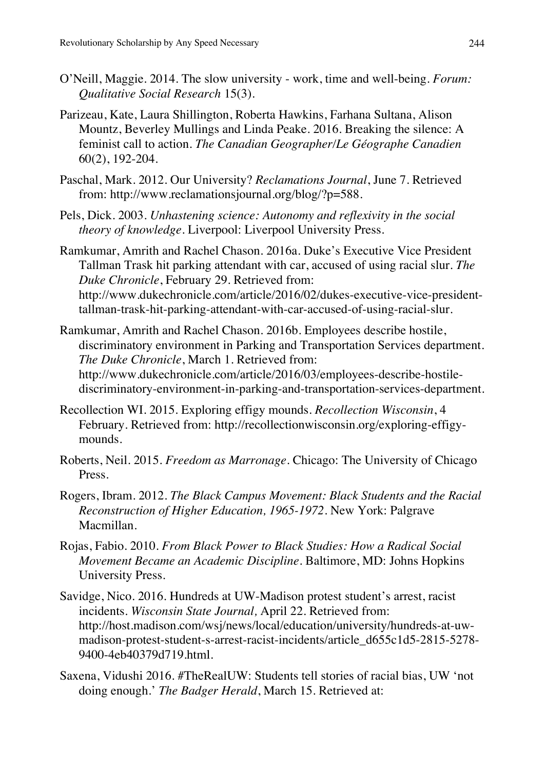- O'Neill, Maggie. 2014. The slow university work, time and well-being. *Forum: Qualitative Social Research* 15(3).
- Parizeau, Kate, Laura Shillington, Roberta Hawkins, Farhana Sultana, Alison Mountz, Beverley Mullings and Linda Peake. 2016. Breaking the silence: A feminist call to action. *The Canadian Geographer/Le Géographe Canadien* 60(2), 192-204.
- Paschal, Mark. 2012. Our University? *Reclamations Journal*, June 7. Retrieved from: http://www.reclamationsjournal.org/blog/?p=588.
- Pels, Dick. 2003. *Unhastening science: Autonomy and reflexivity in the social theory of knowledge.* Liverpool: Liverpool University Press.
- Ramkumar, Amrith and Rachel Chason. 2016a. Duke's Executive Vice President Tallman Trask hit parking attendant with car, accused of using racial slur. *The Duke Chronicle*, February 29. Retrieved from: http://www.dukechronicle.com/article/2016/02/dukes-executive-vice-presidenttallman-trask-hit-parking-attendant-with-car-accused-of-using-racial-slur.
- Ramkumar, Amrith and Rachel Chason. 2016b. Employees describe hostile, discriminatory environment in Parking and Transportation Services department. *The Duke Chronicle*, March 1. Retrieved from: http://www.dukechronicle.com/article/2016/03/employees-describe-hostilediscriminatory-environment-in-parking-and-transportation-services-department.
- Recollection WI. 2015. Exploring effigy mounds. *Recollection Wisconsin*, 4 February. Retrieved from: http://recollectionwisconsin.org/exploring-effigymounds.
- Roberts, Neil. 2015. *Freedom as Marronage*. Chicago: The University of Chicago Press.
- Rogers, Ibram. 2012. *The Black Campus Movement: Black Students and the Racial Reconstruction of Higher Education, 1965-1972*. New York: Palgrave Macmillan.
- Rojas, Fabio. 2010. *From Black Power to Black Studies: How a Radical Social Movement Became an Academic Discipline*. Baltimore, MD: Johns Hopkins University Press.
- Savidge, Nico. 2016. Hundreds at UW-Madison protest student's arrest, racist incidents. *Wisconsin State Journal,* April 22. Retrieved from: http://host.madison.com/wsj/news/local/education/university/hundreds-at-uwmadison-protest-student-s-arrest-racist-incidents/article\_d655c1d5-2815-5278- 9400-4eb40379d719.html.
- Saxena, Vidushi 2016. #TheRealUW: Students tell stories of racial bias, UW 'not doing enough.' *The Badger Herald*, March 15. Retrieved at: